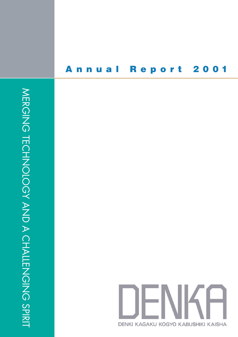# **Annual Report 2001**

MERGING TECHNOLOGY AND A CHALLENGING SPIRIT MERGING TECHNOLOGY AND A CHALLENGING SPIRIT

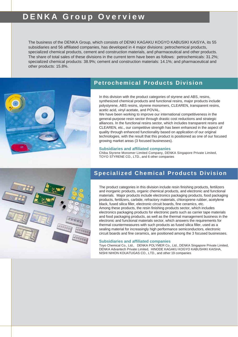# **DENKA Group Overview**

The business of the DENKA Group, which consists of DENKI KAGAKU KOGYO KABUSIKI KAISYA, its 55 subsidiaries and 56 affiliated companies, has developed in 4 major divisions: petrochemical products, specialized chemical products, cement and construction materials, and pharmaceutical and other products. The share of total sales of these divisions in the current term have been as follows: petrochemicals: 31.2%; specialized chemical products: 38.9%; cement and construction materials: 14.1%; and pharmaceutical and other products: 15.8%.



# **Petrochemical Products Division**

In this division with the product categories of styrene and ABS, resins, synthesized chemical products and functional resins, major products include polystyrene, ABS resins, styrene monomers, CLEAREN, transparent resins, acetic acid, vinyl acetate, and POVAL.

We have been working to improve our international competitiveness in the general-purpose resin sector through drastic cost reductions and strategic alliances. In the functional resins sector, which includes transparent resins and CLEAREN, etc., our competitive strength has been enhanced in the aspect of quality through enhanced functionality based on application of our original technologies, with the result that this product is positioned as one of our focused growing market areas (3 focused businesses).

### **Subsidiaries and affiliated companies**

Chiba Styrene Monomer Limited Company, DENKA Singapore Private Limited, TOYO STYRENE CO., LTD., and 6 other companies



# **Specialized Chemical Products Division**

The product categories in this division include resin finishing products, fertilizers and inorganic products, organic chemical products, and electronic and functional materials. Major products include electronics packaging products, food packaging products, fertilizers, carbide, refractory materials, chloroprene rubber, acetylene black, fused silica filler, electronic circuit boards, fine ceramics, etc. Among these products, the resin finishing products sector, which includes electronics packaging products for electronic parts such as carrier tape materials and food packaging products, as well as the thermal management business in the electronic and functional materials sector, which answers the requirements for thermal countermeasures with such products as fused silica filler, used as a sealing material for increasingly high performance semiconductors, electronic

circuit boards and fine ceramics, are positioned among the 3 focused businesses.

### **Subsidiaries and affiliated companies**

Toyo Chemical Co., Ltd., DENKA POLYMER Co., Ltd., DENKA Singapore Private Limited, DENKA Advantech Private Limited, HINODE KAGAKU KOGYO KABUSHIKI KAISHA, NISHI NIHON KOUATUGAS CO., LTD., and other 19 companies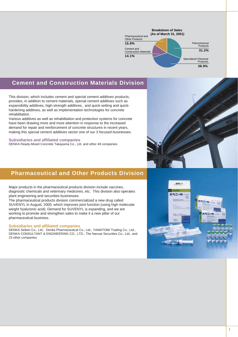

# **Cement and Construction Materials Division**

This division, which includes cement and special cement additives products, provides, in addition to cement materials, special cement additives such as expansibility additives, high-strength additives, and quick-setting and quickhardening additives, as well as implementation technologies for concrete rehabilitation.

Various additives as well as rehabilitation and protection systems for concrete have been drawing more and more attention in response to the increased demand for repair and reinforcement of concrete structures in recent years, making this special cement additives sector one of our 3 focused businesses.

### **Subsidiaries and affiliated companies**

DENKA Ready-Mixed Concrete Takayama Co., Ltd. and other 49 companies

# **Pharmaceutical and Other Products Division**

Major products in the pharmaceutical products division include vaccines, diagnostic chemicals and veterinary medicines, etc. This division also operates plant engineering and securities businesses.

The pharmaceutical products division commercialized a new drug called SUVENYL in August, 2000, which improves joint function (using high molecular weight hyaluronic acid). Demand for SUVENYL is expanding, and we are working to promote and strengthen sales to make it a new pillar of our pharmaceutical business.

#### **Subsidiaries and affiliated companies**

DENKA Seiken Co., Ltd., Denka Pharmaceutical Co., Ltd., YAMATOMI Trading Co., Ltd., DENKA CONSULTANT & ENGINEERING CO., LTD., The Naruse Securities Co., Ltd., and 23 other companies



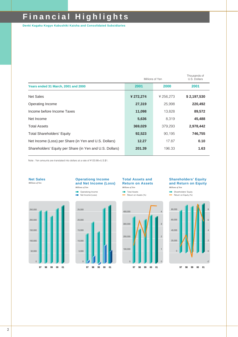# **Financial Highlights**

**Denki Kagaku Kogyo Kabushiki Kaisha and Consolidated Subsidiaries**

|                                                          | Millions of Yen | Thousands of<br>U.S. Dollars |             |
|----------------------------------------------------------|-----------------|------------------------------|-------------|
| Years ended 31 March, 2001 and 2000                      | 2001            | 2000                         | 2001        |
| <b>Net Sales</b>                                         | ¥ 272,274       | ¥ 256,273                    | \$2,197,530 |
| Operating Income                                         | 27,319          | 25,998                       | 220,492     |
| Income before Income Taxes                               | 11,098          | 13,828                       | 89,572      |
| Net Income                                               | 5,636           | 8,319                        | 45,488      |
| <b>Total Assets</b>                                      | 369,029         | 379,293                      | 2,978,442   |
| <b>Total Shareholders' Equity</b>                        | 92,523          | 90.195                       | 746,755     |
| Net Income (Loss) per Share (in Yen and U.S. Dollars)    | 12.27           | 17.87                        | 0.10        |
| Shareholders' Equity per Share (in Yen and U.S. Dollars) | 201.39          | 196.33                       | 1.63        |

Note : Yen amounts are translated into dollars at a rate of ¥123.90=U.S.\$1.





**T** Total Assets Return on Assets (%)

100,000

200,000

300,000

400,000

## **Shareholders' Equity and Return on Equity**

**Shareholders' Equity** Return on Equity (%) *Millions of Yen*

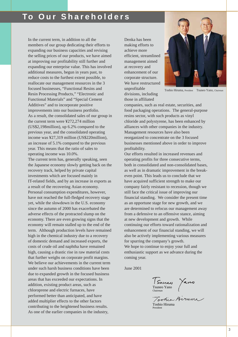In the current term, in addition to all the members of our group dedicating their efforts to expanding our business capacities and revising the selling prices of our products, we have aimed at improving our profitability still further and expanding our enterprise value. This has involved additional measures, begun in years past, to reduce costs to the furthest extent possible, to reallocate our management resources in the 3 focused businesses, "Functional Resins and Resin Processing Products," "Electronic and Functional Materials" and "Special Cement Additives" and to incorporate positive improvements into our business portfolio. As a result, the consolidated sales of our group in the current term were ¥272,274 million (US\$2,198million), up 6.2% compared to the previous year, and the consolidated operating income was ¥27,319 million (US\$220million), an increase of 5.1% compared to the previous year. This means that the ratio of sales to operating income was 10.0%.

The current term has, generally speaking, seen the Japanese economy slowly getting back on the recovery track, helped by private capital investments which are focused mainly in IT-related fields, and by an increase in exports as a result of the recovering Asian economy. Personal consumption expenditures, however, have not reached the full-fledged recovery stage yet, while the slowdown in the U.S. economy since the autumn of 2000 has exacerbated the adverse effects of the protracted slump on the economy. There are even growing signs that the economy will remain stalled up to the end of the term. Although production levels have remained high in the chemical industry due to a recovery of domestic demand and increased exports, the costs of crude oil and naphtha have remained high, causing a drastic rise in raw material costs that further weighs on corporate profit margins. We believe our achievements in the current term under such harsh business conditions have been due to expanded growth in the focused business areas that has exceeded our expectations. In addition, existing product areas, such as chloroprene and electric furnaces, have performed better than anticipated, and have added multiplier effects to the other factors contributing to the heightened business results. As one of the earlier companies in the industry,

Denka has been making efforts to achieve more efficient, streamlined management aimed at recovery and enhancement of our corporate structure. We have restructured unprofitable divisions, including

those in affiliated



Toshio Hiruma, President Tsuneo Yano, Chairman

companies, such as real estate, securities, and food packaging operations. The general-purpose resins sector, with such products as vinyl chloride and polystyrene, has been enhanced by alliances with other companies in the industry. Management resources have also been reorganized to concentrate on the 3 focused businesses mentioned above in order to improve profitability.

Our efforts resulted in increased revenues and operating profits for three consecutive terms, both in consolidated and non-consolidated bases, as well as in dramatic improvement in the breakeven point. This leads us to conclude that we have acquired sufficient strength to make our company fairly resistant to recession, though we still face the critical issue of improving our financial standing. We consider the present time as an opportune stage for new growth, and we are determined to refocus our management away from a defensive to an offensive stance, aiming at new development and growth. While continuing our efforts toward rationalization and enhancement of our financial standing, we will also be actively implementing various measures for spurring the company's growth. We hope to continue to enjoy your full and enthusiastic support as we advance during the coming year.

June 2001

Tsuneo Yano Chairman

Toohia Hiruma

Toshio Hiruma President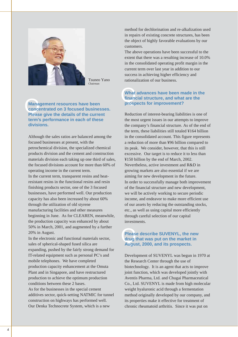

Tsuneo Yano Chairman

# **Management resources have been<br>concentrated on 3 focused business<br>Please give the details of the current Management resources have been concentrated on 3 focused businesses. term's performance in each of these divisions.**

Although the sales ratios are balanced among the focused businesses at present, with the petrochemical division, the specialized chemical products division and the cement and construction materials division each taking up one third of sales, the focused divisions account for more than 60% of operating income in the current term. In the current term, transparent resins and heatresistant resins in the functional resins and resin finishing products sector, one of the 3 focused businesses, have performed well. Our production capacity has also been increased by about 60% through the utilization of old styrene manufacturing facilities and other measures beginning in June. As for CLEAREN, meanwhile, the production capacity was enhanced by about 50% in March, 2001, and augmented by a further 20% in August.

In the electronic and functional materials sector, sales of spherical-shaped fused silica are expanding, pushed by the fairly strong demand for IT-related equipment such as personal PC's and mobile telephones. We have completed production capacity enhancement at the Omuta Plant and in Singapore, and have restructured production to achieve the optimum production conditions between these 2 bases.

As for the businesses in the special cement additives sector, quick-setting NATMIC for tunnel construction on highways has performed well. Our Denka Technocrete System, which is a new

method for dechlorination and re-alkalization used in repairs of existing concrete structures, has been the object of highly favorable evaluations by our customers.

The above operations have been successful to the extent that there was a resulting increase of 10.0% in the consolidated operating profit margin in the current term over last year in addition to our success in achieving higher efficiency and rationalization of our business.

# What<br>finand<br>prosp **What advances have been made in the financial structure, and what are the prospects for improvement?**

Reduction of interest-bearing liabilities is one of the most urgent issues in our attempts to improve the company's financial structure. As of the end of the term, these liabilities still totaled ¥164 billion in the consolidated account. This figure represents a reduction of more than ¥96 billion compared to its peak. We consider, however, that this is still excessive. Our target is to reduce it to less than ¥150 billion by the end of March, 2002. Nevertheless, active investment and R&D in growing markets are also essential if we are aiming for new development in the future. In order to successfully manage both improvement of the financial structure and new development, we will be actively working to secure periodic income, and endeavor to make more efficient use of our assets by reducing the outstanding stocks, etc., as well as using capital more efficiently through careful selection of our capital investments.

# Q**Please describe SUVENYL, the new drug that was put on the market in August, 2000, and its prospects.**

Development of SUVENYL was begun in 1970 at the Research Center through the use of biotechnology. It is an agent that acts to improve joint function, which was developed jointly with Aventis Pharma, Ltd. and Chugai Pharmaceutical Co., Ltd. SUVENYL is made from high molecular weight hyaluronic acid through a fermentation method originally developed by our company, and its properties make it effective for treatment of chronic rheumatoid arthritis. Since it was put on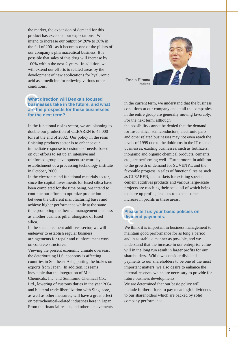the market, the expansion of demand for this product has exceeded our expectations. We intend to increase our output by 20% to 30% in the fall of 2001 as it becomes one of the pillars of our company's pharmaceutical business. It is possible that sales of this drug will increase by 100% within the next 2 years. In addition, we will extend our efforts to related areas by the development of new applications for hyaluronic acid as a medicine for relieving various other conditions.

# **What direction will Denka's focused<br>businesses take in the future, and what<br>are the prospects for these businesses What direction will Denka's focused businesses take in the future, and what for the next term?**

In the functional resins sector, we are planning to double our production of CLEAREN to 45,000 tons at the end of 2002. Our policy in the resin finishing products sector is to enhance our immediate response to customers' needs, based on our efforts to set up an intensive and reinforced group development structure by establishment of a processing technology institute in October, 2000.

In the electronic and functional materials sector, since the capital investments for fused silica have been completed for the time being, we intend to continue our efforts to optimize production between the different manufacturing bases and achieve higher performance while at the same time promoting the thermal management business as another business pillar alongside of fused silica.

In the special cement additives sector, we will endeavor to establish regular business arrangements for repair and reinforcement work on concrete structures.

Viewing the present economic climate overseas, the deteriorating U.S. economy is affecting countries in Southeast Asia, putting the brakes on exports from Japan. In addition, it seems inevitable that the integration of Mitsui Chemicals, Inc. and Sumitomo Chemical Co., Ltd., lowering of customs duties in the year 2004 and bilateral trade liberalization with Singapore, as well as other measures, will have a great effect on petrochemical-related industries here in Japan. From the financial results and other achievements



Toshio Hiruma President

in the current term, we understand that the business conditions at our company and at all the companies in the entire group are generally moving favorably. For the next term, although

the possibility cannot be denied that the demand for fused silica, semiconductors, electronic parts and other related businesses may not even reach the levels of 1999 due to the doldrums in the IT-related businesses, existing businesses, such as fertilizers, inorganic and organic chemical products, cements, etc., are performing well. Furthermore, in addition to the growth of demand for SUVENYL and the favorable progress in sales of functional resins such as CLEAREN, the markets for existing special cement additives products and various large-scale projects are reaching their peak, all of which helps to shore up profits, leads us to expect some increase in profits in these areas.

# Q**Please tell us your basic policies on dividend payments.**

We think it is important in business management to maintain good performance for as long a period and in as stable a manner as possible, and we understand that the increase in our enterprise value will in the long run result in larger profits for our shareholders. While we consider dividend payments to our shareholders to be one of the most important matters, we also desire to enhance the internal reserves which are necessary to provide for future business developments. We are determined that our basic policy will include further efforts to pay meaningful dividends to our shareholders which are backed by solid company performance.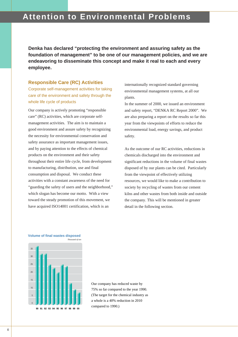# **Attention to Environmental Problems**

**Denka has declared "protecting the environment and assuring safety as the foundation of management" to be one of our management policies, and we are endeavoring to disseminate this concept and make it real to each and every employee.**

## **Responsible Care (RC) Activities**

Corporate self-management activities for taking care of the environment and safety through the whole life cycle of products

Our company is actively promoting "responsible care" (RC) activities, which are corporate selfmanagement activities. The aim is to maintain a good environment and assure safety by recognizing the necessity for environmental conservation and safety assurance as important management issues, and by paying attention to the effects of chemical products on the environment and their safety throughout their entire life cycle, from development to manufacturing, distribution, use and final consumption and disposal. We conduct these activities with a constant awareness of the need for "guarding the safety of users and the neighborhood," which slogan has become our motto. With a view toward the steady promotion of this movement, we have acquired ISO14001 certification, which is an

*Thousand of ton*

internationally recognized standard governing environmental management systems, at all our plants.

In the summer of 2000, we issued an environment and safety report, "DENKA RC Report 2000". We are also preparing a report on the results so far this year from the viewpoints of efforts to reduce the environmental load, energy savings, and product safety.

As the outcome of our RC activities, reductions in chemicals discharged into the environment and significant reductions in the volume of final wastes disposed of by our plants can be cited. Particularly from the viewpoint of effectively utilizing resources, we would like to make a contribution to society by recycling of wastes from our cement kilns and other wastes from both inside and outside the company. This will be mentioned in greater detail in the following section.



# **Volume of final wastes disposed**

Our company has reduced waste by 75% so far compared to the year 1990. (The target for the chemical industry as a whole is a 40% reduction in 2010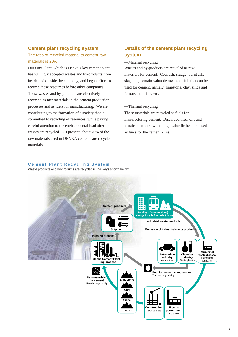# **Cement plant recycling system**

# The ratio of recycled material to cement raw materials is 20%.

Our Omi Plant, which is Denka's key cement plant, has willingly accepted wastes and by-products from inside and outside the company, and began efforts to recycle these resources before other companies. These wastes and by-products are effectively recycled as raw materials in the cement production processes and as fuels for manufacturing. We are contributing to the formation of a society that is committed to recycling of resources, while paying careful attention to the environmental load after the wastes are recycled. At present, about 20% of the raw materials used in DENKA cements are recycled materials.

# **Details of the cement plant recycling system**

### —Material recycling

Wastes and by-products are recycled as raw materials for cement. Coal ash, sludge, burnt ash, slag, etc., contain valuable raw materials that can be used for cement, namely, limestone, clay, silica and ferrous materials, etc.

#### —Thermal recycling

These materials are recycled as fuels for manufacturing cement. Discarded tires, oils and plastics that burn with a high calorific heat are used as fuels for the cement kilns.

### **Cement Plant Recycling System**

Waste products and by-products are recycled in the ways shown below.

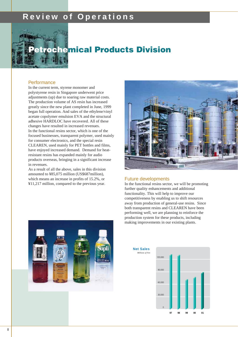# **Review of Operations**



# **Petrochemical Products Division Petroche**

## **Performance**

In the current term, styrene monomer and polystyrene resin in Singapore underwent price adjustments (up) due to soaring raw material costs. The production volume of AS resin has increased greatly since the new plant completed in June, 1999 began full operation. And sales of the ethylene/vinyl acetate copolymer emulsion EVA and the structural adhesive HARDLOC have recovered. All of these changes have resulted in increased revenues. In the functional resins sector, which is one of the focused businesses, transparent polymer, used mainly for consumer electronics, and the special resin CLEAREN, used mainly for PET bottles and films, have enjoyed increased demand. Demand for heatresistant resins has expanded mainly for audio products overseas, bringing in a significant increase in revenues.

As a result of all the above, sales in this division amounted to ¥85,075 million (US\$687million), which means an increase in profits of 15.2%, or ¥11,217 million, compared to the previous year.



## Future developments

In the functional resins sector, we will be promoting further quality enhancements and additional functionality. This will help to improve our competitiveness by enabling us to shift resources away from production of general-use resins. Since both transparent resins and CLEAREN have been performing well, we are planning to reinforce the production system for these products, including making improvements in our existing plants.



**97 98 99 01 00** 30,000 60,000 90,000 120,000 *Millions of Yen* **Net Sales**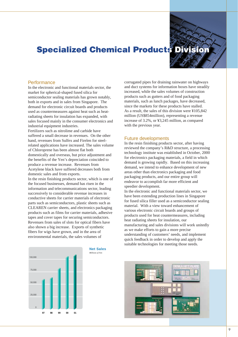# **Specialized Chemical Products Division**

## **Performance**

In the electronic and functional materials sector, the market for spherical-shaped fused silica for semiconductor sealing materials has grown notably, both in exports and in sales from Singapore. The demand for electronic circuit boards and products used as countermeasures against heat such as heatradiating sheets for insulation has expanded, with sales focused mainly in the consumer electronics and industrial equipment industries.

Fertilizers such as nitrolime and carbide have suffered a small decrease in revenues. On the other hand, revenues from Sulfex and Firelen for steelrelated applications have increased. The sales volume of Chloroprene has been almost flat both domestically and overseas, but price adjustment and the benefits of the Yen's depreciation coincided to produce a revenue increase. Revenues from Acetylene black have suffered decreases both from domestic sales and from exports. In the resin finishing products sector, which is one of the focused businesses, demand has risen in the information and telecommunications sector, leading successively to considerable revenue increases in conductive sheets for carrier materials of electronic parts such as semiconductors, plastic sheets such as CLEAREN carrier sheets, and electronics packaging products such as films for carrier materials, adhesive tapes and cover tapes for securing semiconductors. Revenues from sales of slots for optical fibers have also shown a big increase. Exports of synthetic fibers for wigs have grown, and in the area of



environmental materials, the sales volumes of

**Net Sales**

corrugated pipes for draining rainwater on highways and duct systems for information boxes have steadily increased, while the sales volumes of construction products such as gutters and of food packaging materials, such as lunch packages, have decreased, since the markets for these products have stalled. As a result, the sales of this division were ¥105,842 million (US\$854million), representing a revenue increase of 3.2%, or ¥3,245 million, as compared with the previous year.

### Future developments

In the resin finishing products sector, after having reviewed the company's R&D structure, a processing technology institute was established in October, 2000 for electronics packaging materials, a field in which demand is growing rapidly. Based on this increasing demand, we intend to enhance development of new areas other than electronics packaging and food packaging products, and our entire group will endeavor to accomplish far more efficient and speedier development.

In the electronic and functional materials sector, we have been extending production lines in Singapore for fused silica filler used as a semiconductor sealing material. With a view toward enhancement of various electronic circuit boards and groups of products used for heat countermeasures, including heat radiating sheets for insulation, our manufacturing and sales divisions will work unitedly as we make efforts to gain a more precise understanding of customers' needs, and implement quick feedback in order to develop and apply the suitable technologies for meeting those needs.

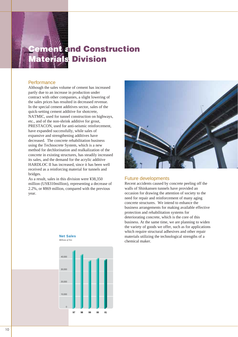# **Cement and Construction a Materials Division Materials**

# **Performance**

Although the sales volume of cement has increased partly due to an increase in production under contract with other companies, a slight lowering of the sales prices has resulted in decreased revenue. In the special cement additives sector, sales of the quick-setting cement additive for shotcrete, NATMIC, used for tunnel construction on highways, etc., and of the non-shrink additive for grout, PRESTACON, used for anti-seismic reinforcement, have expanded successfully, while sales of expansive and strengthening additives have decreased. The concrete rehabilitation business using the Technocrete System, which is a new method for dechlorination and realkalization of the concrete in existing structures, has steadily increased its sales, and the demand for the acrylic additive HARDLOC II has increased, since it has been well received as a reinforcing material for tunnels and bridges.

As a result, sales in this division were ¥38,350 million (US\$310million), representing a decrease of 2.2%, or ¥869 million, compared with the previous year.



## Future developments

Recent accidents caused by concrete peeling off the walls of Shinkansen tunnels have provided an occasion for drawing the attention of society to the need for repair and reinforcement of many aging concrete structures. We intend to enhance the business arrangements for making available effective protection and rehabilitation systems for deteriorating concrete, which is the core of this business. At the same time, we are planning to widen the variety of goods we offer, such as for applications which require structural adhesives and other repair materials utilizing the technological strengths of a chemical maker.



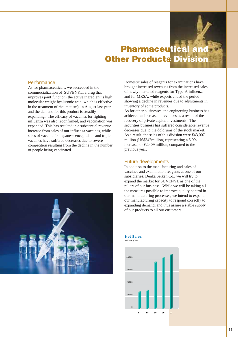# **Pharmaceutical and Other Products Division utical s**

# **Performance**

As for pharmaceuticals, we succeeded in the commercialization of SUVENYL, a drug that improves joint function (the active ingredient is high molecular weight hyaluronic acid, which is effective in the treatment of rheumatism), in August last year, and the demand for this product is steadily expanding. The efficacy of vaccines for fighting influenza was also reconfirmed, and vaccination was expanded. This has resulted in a substantial revenue increase from sales of our influenza vaccines, while sales of vaccine for Japanese encephalitis and triple vaccines have suffered decreases due to severe competition resulting from the decline in the number of people being vaccinated.



Domestic sales of reagents for examinations have brought increased revenues from the increased sales of newly marketed reagents for Type-A influenza and for MRSA, while exports ended the period showing a decline in revenues due to adjustments in inventory of some products.

As for other businesses, the engineering business has achieved an increase in revenues as a result of the recovery of private capital investments. The securities business has suffered considerable revenue decreases due to the doldrums of the stock market. As a result, the sales of this division were ¥43,007 million (US\$347million) representing a 5.9% increase, or ¥2,409 million, compared to the previous year.

# Future developments

In addition to the manufacturing and sales of vaccines and examination reagents at one of our subsidiaries, Denka Seiken Co., we will try to expand the market for SUVENYL as one of the pillars of our business. While we will be taking all the measures possible to improve quality control in our manufacturing processes, we intend to expand our manufacturing capacity to respond correctly to expanding demand, and thus assure a stable supply of our products to all our customers.



# *Millions of Yen* **Net Sales**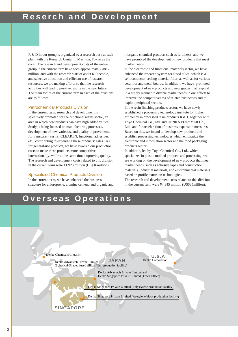R & D in our group is organized by a research base at each plant with the Research Center in Machida, Tokyo as the core. The research and development costs of the entire group in the current term have been approximately ¥817 million, and with the research staff of about 610 people, and selective allocation and efficient use of research resources, we are making efforts so that the research activities will lead to positive results in the near future. The main topics of the current term in each of the divisions are as follows:

#### Petrochemical Products Division

In the current term, research and development is selectively promoted for the functional resins sector, an area in which new products can have high added values. Study is being focused on manufacturing processes, development of new varieties, and quality improvements for transparent resins, CLEAREN, functional adhesives, etc., contributing to expanding these products' sales. As for general-use products, we have lowered our production costs to make these products more competitive internationally, while at the same time improving quality. The research and development costs related to this division in the current term were ¥1,923 million (US\$16million).

#### Specialized Chemical Products Division

In the current term, we have enhanced the business structure for chloroprene, alumina cement, and organic and inorganic chemical products such as fertilizers, and we have promoted the development of new products that meet market needs.

In the electronic and functional materials sector, we have enhanced the research system for fused silica, which is a semiconductor sealing material filler, as well as for various ceramics and metal boards. In addition, we have promoted development of new products and new grades that respond in a timely manner to diverse market needs in our efforts to improve the competitiveness of related businesses and to exploit peripheral sectors.

In the resin finishing products sector, we have newly established a processing technology institute for higher efficiency in processed resin products R & D together with Toyo Chemical Co., Ltd. and DENKA POLYMER Co., Ltd., and for acceleration of business expansion measures. Based on this, we intend to develop new products and establish processing technologies which emphasize the electronic and information sector and the food packaging products sector.

In addition, led by Toyo Chemical Co., Ltd., which specializes in plastic molded products and processing, we are working on the development of new products that meet market needs, such as adhesive tapes and construction materials, industrial materials, and environmental materials based on profile extrusion technologies.

The research and development costs related to this division in the current term were ¥4,345 million (US\$35million).

# **Overseas Operations**

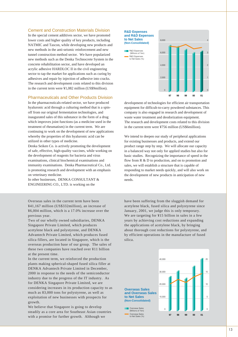### Cement and Construction Materials Division

In the special cement additives sector, we have promoted lower costs and higher quality of key products, including NATMIC and Tascon, while developing new products and new methods in the anti-seismic reinforcement and new tunnel construction method sector. We have popularized new methods such as the Denka Technocrete System in the concrete rehabilitation sector, and have developed an acrylic adhesive HARDLOC II in the civil engineering sector to tap the market for applications such as curing by adhesives and repair by injection of adhesive into cracks. The research and development costs related to this division in the current term were ¥1,082 million (US\$9million).

## Pharmaceuticals and Other Products Division

In the pharmaceuticals-related sector, we have produced hyaluronic acid through a culturing method that is a spinoff from our original fermentation technologies, and inaugurated sales of this substance in the form of a drug which improves joint functions (as a medicine used in the treatment of rheumatism) in the current term. We are continuing to work on the development of new applications whereby the properties of this hyaluronic acid can be utilized in other types of medicine.

Denka Seiken Co. is actively promoting the development of safe, effective, high-quality vaccines, while working on the development of reagents for bacteria and virus examinations, clinical biochemical examinations and immunity examinations. Denka Pharmaceutical Co., Ltd. is promoting research and development with an emphasis on veterinary medicine.

In other businesses, DENKA CONSULTANT & ENGINEERING CO., LTD. is working on the

Overseas sales in the current term have been ¥41,167 million (US\$332million), an increase of ¥6,004 million, which is a 17.0% increase over the previous year.

Two of our wholly owned subsidiaries, DENKA Singapore Private Limited, which produces acetylene black and polystyrene, and DENKA Advantech Private Limited, which produces fused silica fillers, are located in Singapore, which is the overseas production base of our group. The sales of these two companies have reached over ¥11 billion at the present time.

In the current term, we reinforced the production plants making spherical-shaped fused silica filler at DENKA Advantech Private Limited in December, 2000 in response to the needs of the semiconductor industry due to the progress of the IT industry. As for DENKA Singapore Private Limited, we are considering increases in its production capacity to as much as 83,000 tons for polystyrene, as well as exploitation of new businesses with prospects for growth.

We believe that Singapore is going to develop steadily as a core area for Southeast Asian countries with a promise for further growth. Although we



development of technologies for efficient air transportation equipment for difficult-to-carry powdered substances. This company is also engaged in research and development of waste water treatment and deodorization equipment. The research and development costs related to this division in the current term were ¥756 million (US\$6million).

**97 98 99 01 00**

1

2

3

4

We intend to deepen our study of peripheral applications for existing businesses and products, and extend our product range step by step. We will allocate our capacity in a balanced way not only for applied studies but also for basic studies. Recognizing the importance of speed in the flow from R & D to production, and on to promotion and sales, we will establish a structure that is capable of responding to market needs quickly, and will also work on the development of new products in anticipation of new needs.

have been suffering from the sluggish demand for acetylene black, fused silica and polystyrene since January, 2001, we judge this is only temporary. We are targeting for ¥15 billion in sales in a few years by achieving cost reductions and expanding the applications of acetylene black, by bringing about thorough cost reductions for polystyrene, and by efficient operations in the manufacture of fused silica.

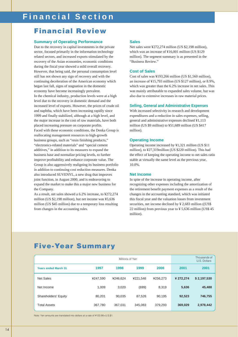# **Financial Section**

# **Financial Review**

### **Summary of Operating Performance**

Due to the recovery in capital investments in the private sector, focused primarily in the information technology related sectors, and increased exports stimulated by the recovery of the Asian economies, economic conditions during the fiscal year showed a mild overall recovery. However, that being said, the personal consumption level still has not shown any sign of recovery and with the continuing deceleration of the American economy which began last fall, signs of stagnation in the domestic economy have become increasingly prevalent. In the chemical industry, production levels were at a high level due to the recovery in domestic demand and the increased level of exports. However, the prices of crude oil and naphtha, which have been increasing rapidly since 1999 and finally stabilized, although at a high level, and the major increase in the cost of raw materials, have both placed increasing pressure on corporate profits. Faced with these economic conditions, the Denka Group is reallocating management resources to high-growth business groups, such as "resin finishing products," "electronics-related materials" and "special cement additives," in addition to its measures to expand the business base and normalize pricing levels, to further improve profitability and enhance corporate value. The Group is also aggressively realigning its business portfolio in addition to continuing cost reduction measures. Denka also introduced SUVENYL, a new drug that improves joint function, in August 2000, and is endeavoring to expand the market to make this a major new business for the Company.

As a result, net sales showed a 6.2% increase, to ¥272,274 million (US \$2,198 million), but net income was ¥5,636 million (US \$45 million) due to a temporary loss resulting from changes in the accounting rules.

#### **Sales**

Net sales were ¥272,274 million (US \$2,198 million), which was an increase of ¥16,001 million (US \$129 million). The segment summary is as presented in the "Business Review."

#### **Cost of Sales**

Cost of sales was ¥193,266 million (US \$1,560 million), an increase of ¥15,793 million (US \$127 million), or 8.9%, which was greater than the 6.2% increase in net sales. This was mainly attributable to expanded sales volume, but was also due to extensive increases in raw material prices.

### **Selling, General and Administrative Expenses**

With increased selectivity in research and development expenditures and a reduction in sales expenses, selling, general and administrative expenses declined ¥1,113 million (US \$9 million) to ¥51,689 million (US \$417 million).

### **Operating Income**

Operating income increased by ¥1,321 million (US \$11 million), to ¥27,319million (US \$220 million). This had the effect of keeping the operating income to net sales ratio stable at virtually the same level as the previous year, 10.0%.

#### **Net Income**

In spite of the increase in operating income, after recognizing other expenses including the amortization of the retirement benefit payment expenses as a result of the changes in the accounting standard, which was initiated this fiscal year and the valuation losses from investment securities, net income declined by ¥ 2,683 million ((US\$) 22 million) from previous year to ¥ 5,636 million (US\$ 45 million).

# **Five-Year Summary**

| Millions of Yen             |          |          |          |          |           | Thousands of<br>U.S. Dollars |
|-----------------------------|----------|----------|----------|----------|-----------|------------------------------|
| <b>Years ended March 31</b> | 1997     | 1998     | 1999     | 2000     | 2001      | 2001                         |
| <b>Net Sales</b>            | ¥247.590 | ¥246.624 | ¥221.546 | ¥256,273 | ¥ 272,274 | \$2,197,530                  |
| Net Income                  | 1,009    | 3,020    | (699)    | 8,319    | 5,636     | 45,488                       |
| Shareholders' Equity        | 80.201   | 90.035   | 87,526   | 90.195   | 92,523    | 746,755                      |
| <b>Total Assets</b>         | 367,780  | 367,031  | 345,083  | 379,293  | 369,029   | 2,978,442                    |

Note: Yen amounts are translated into dollars at a rate of ¥123.90=U.S.\$1.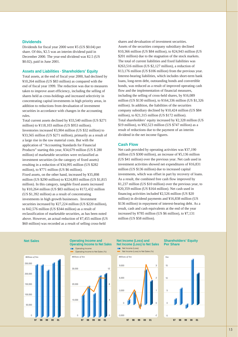#### **Dividends**

Dividends for fiscal year 2000 were ¥5 (US \$0.04) per share. Of this, ¥2.5 was an interim dividend paid in December 2000. The year-end dividend was ¥2.5 (US \$0.02), paid in June 2001.

### **Assets and Liabilities . Shareholders' Equity**

Total assets, at the end of fiscal year 2000, had declined by ¥10,264 million (US \$83 million) as compared with the end of fiscal year 1999. The reduction was due to measures taken to improve asset efficiency, including the selling of shares held as cross-holdings and increased selectivity in concentrating capital investments in high priority areas, in addition to reductions from devaluation of investment securities in accordance with changes in the accounting rules.

Total current assets declined by ¥33,540 million (US \$271 million) to ¥118,103 million (US \$953 million). Inventories increased ¥3,904 million (US \$32 million) to ¥33,565 million (US \$271 million), primarily as a result of a large rise in the raw material costs. But with the application of "Accounting Standards for Financial Products" starting this year, ¥34,679 million (US \$ 280 million) of marketable securities were reclassified as investment securities (in the category of fixed assets) resulting in a reduction of ¥34,995 million (US \$282 million), to ¥771 million (US \$6 million). Fixed assets, on the other hand, increased by ¥35,898 million (US \$290 million) to ¥224,893 million (US \$1,815 million). In this category, tangible fixed assets increased by ¥10,264 million (US \$83 million) to ¥172,432 million (US \$1,392 million) as a result of concentrating investments in high growth businesses. Investment securities increased by ¥27,224 million (US \$220 million), to ¥42,576 million (US \$344 million) as a result of reclassification of marketable securities, as has been noted above. However, an actual reduction of ¥7,455 million (US \$60 million) was recorded as a result of selling cross-held

shares and devaluation of investment securities. Assets of the securities company subsidiary declined ¥10,366 million (US \$84 million), to ¥24,943 million (US \$201 million) due to the stagnation of the stock markets. The total of current liabilities and fixed liabilities was ¥263,516 million (US \$2,127 million), a reduction of ¥13,176 million (US \$106 million) from the previous year. Interest-bearing liabilities, which includes short-term bank loans, long-term debt, outstanding bonds and convertible bonds, was reduced as a result of improved operating cash flow and the implementation of financial measures, including the selling of cross-held shares, by ¥16,089 million (US \$130 million), to ¥164,336 million (US \$1,326 million). In addition, the liabilities of the securities company subsidiary declined by ¥10,424 million (US \$84 million), to ¥21,315 million (US \$172 million). Total shareholders' equity increased by ¥2,328 million (US \$19 million), to ¥92,523 million (US \$747 million) as a result of reductions due to the payment of an interim dividend in the net income figures.

#### **Cash Flow**

Net cash provided by operating activities was ¥37,190 million (US \$300 million), an increase of ¥5,136 million (US \$41 million) over the previous year. Net cash used in investment activities showed net expenditures of ¥16,831 million (US \$136 million) due to increased capital investments, which was offset in part by recovery of loans. As a result, the combined free cash flow improved by ¥1,237 million (US \$10 million) over the previous year, to ¥20,359 million (US \$164 million). Net cash used in financing activities included ¥2,526 million (US \$20 million) in dividend payments and ¥16,838 million (US \$136 million) in repayment of interest-bearing debt. As a result, cash and cash equivalents at the end of the year increased by ¥785 million (US \$6 million), to ¥7,131 million (US \$58 million).

#### **Net Sales**



#### **Operating Income and Operating Income to Net Sales**







**97 98 99 01 00**

#### **Net Income (Loss) and Net Income (Loss) to Net Sales**



**Shareholders' Equity Per Share**

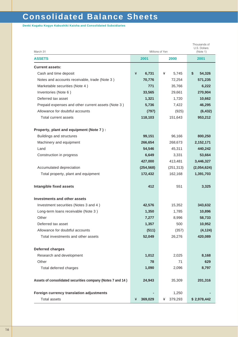# **Consolidated Balance Sheets**

**Denki Kagaku Kogyo Kabushiki Kaisha and Consolidated Subsidiaries**

| March 31                                                   | Millions of Yen | Thousands of<br>U.S. Dollars<br>(Note 1) |              |
|------------------------------------------------------------|-----------------|------------------------------------------|--------------|
| <b>ASSETS</b>                                              | 2001            | 2001                                     |              |
| <b>Current assets:</b>                                     |                 |                                          |              |
| Cash and time deposit                                      | ¥<br>6,731      | 5,745<br>¥                               | \$<br>54,326 |
| Notes and accounts receivable, trade (Note 3)              | 70,776          | 72,254                                   | 571,235      |
| Marketable securities (Note 4)                             | 771             | 35,766                                   | 6,222        |
| Inventories (Note 6)                                       | 33,565          | 29,661                                   | 270,904      |
| Deferred tax asset                                         | 1,321           | 1,720                                    | 10,662       |
| Prepaid expenses and other current assets (Note 3)         | 5,736           | 7,422                                    | 46,295       |
| Allowance for doubtful accounts                            | (797)           | (925)                                    | (6, 432)     |
| Total current assets                                       | 118,103         | 151,643                                  | 953,212      |
| Property, plant and equipment (Note 7):                    |                 |                                          |              |
| <b>Buildings and structures</b>                            | 99,151          | 96,166                                   | 800,250      |
| Machinery and equipment                                    | 266,654         | 268,673                                  | 2,152,171    |
| Land                                                       | 54,546          | 45,311                                   | 440,242      |
| Construction in progress                                   | 6,649           | 3,331                                    | 53,664       |
|                                                            | 427,000         | 413,481                                  | 3,446,327    |
| Accumulated depreciation                                   | (254, 568)      | (251, 313)                               | (2,054,624)  |
| Total property, plant and equipment                        | 172,432         | 162,168                                  | 1,391,703    |
| Intangible fixed assets                                    | 412             | 551                                      | 3,325        |
| Investments and other assets                               |                 |                                          |              |
| Investment securities (Notes 3 and 4)                      | 42,576          | 15,352                                   | 343,632      |
| Long-term loans receivable (Note 3)                        | 1,350           | 1,785                                    | 10,896       |
| Other                                                      | 7,277           | 8,996                                    | 58,733       |
| Deferred tax asset                                         | 1,357           | 500                                      | 10,952       |
| Allowance for doubtful accounts                            | (511)           | (357)                                    | (4, 124)     |
| Total investments and other assets                         | 52,049          | 26,276                                   | 420,089      |
| <b>Deferred charges</b>                                    |                 |                                          |              |
| Research and development                                   | 1,012           | 2,025                                    | 8,168        |
| Other                                                      | 78              | 71                                       | 629          |
| Total deferred charges                                     | 1,090           | 2,096                                    | 8,797        |
| Assets of consolidated securities company (Notes 7 and 14) | 24,943          | 35,309                                   | 201,316      |
| Foreign currency translation adjustments                   |                 | 1,250                                    |              |
| <b>Total assets</b>                                        | 369,029<br>¥    | 379,293<br>¥                             | \$2,978,442  |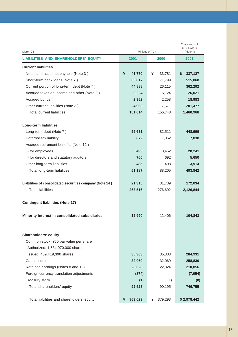| March 31                                                 | Millions of Yen | Thousands of<br>U.S. Dollars<br>(Note 1) |               |  |
|----------------------------------------------------------|-----------------|------------------------------------------|---------------|--|
| <b>LIABILITIES AND SHAREHOLDERS' EQUITY</b>              | 2001            | 2000                                     | 2001          |  |
| <b>Current liabilities</b>                               |                 |                                          |               |  |
| Notes and accounts payable (Note 3)                      | ¥<br>41,770     | ¥<br>33,781                              | \$<br>337,127 |  |
| Short-term bank loans (Note 7)                           | 63,817          | 71,799                                   | 515,068       |  |
| Current portion of long-term debt (Note 7)               | 44,888          | 26,115                                   | 362,292       |  |
| Accrued taxes on income and other (Note 9)               | 3,224           | 5,124                                    | 26,021        |  |
| Accrued bonus                                            | 2,352           | 2,258                                    | 18,983        |  |
| Other current liabilities (Note 3)                       | 24,963          | 17,671                                   | 201,477       |  |
| <b>Total current liabilities</b>                         | 181,014         | 156,748                                  | 1,460,968     |  |
| <b>Long-term liabilities</b>                             |                 |                                          |               |  |
| Long-term debt (Note 7)                                  | 55,631          | 82,511                                   | 448,999       |  |
| Deferred tax liability                                   | 872             | 1,052                                    | 7,038         |  |
| Accrued retirement benefits (Note 12)                    |                 |                                          |               |  |
| - for employees                                          | 3,499           | 3,452                                    | 28,241        |  |
| - for directors and statutory auditors                   | 700             | 692                                      | 5,650         |  |
| Other long-term liabilities                              | 485             | 498                                      | 3,914         |  |
| Total long-term liabilities                              | 61,187          | 88,205                                   | 493,842       |  |
| Liabilities of consolidated securities company (Note 14) | 21,315          | 31,739                                   | 172,034       |  |
| <b>Total liabilities</b>                                 | 263,516         | 276,692                                  | 2,126,844     |  |
| <b>Contingent liabilities (Note 17)</b>                  |                 |                                          |               |  |
| Minority interest in consolidated subsidiaries           | 12,990          | 12,406                                   | 104,843       |  |
| Shareholders' equity                                     |                 |                                          |               |  |
| Common stock: ¥50 par value per share                    |                 |                                          |               |  |
| Authorized: 1,584,070,000 shares                         |                 |                                          |               |  |
| Issued: 459,419,390 shares                               | 35,303          | 35,303                                   | 284,931       |  |
| Capital surplus                                          | 32,069          | 32,069                                   | 258,830       |  |
| Retained earnings (Notes 8 and 13)                       | 26,026          | 22,824                                   | 210,056       |  |
| Foreign currency translation adjustments                 | (874)           |                                          | (7,054)       |  |
| Treasury stock                                           | (1)             | (1)                                      | (8)           |  |
| Total shareholders' equity                               | 92,523          | 90,195                                   | 746,755       |  |
| Total liabilities and shareholders' equity               | 369,029<br>¥    | 379,293<br>¥                             | \$2,978,442   |  |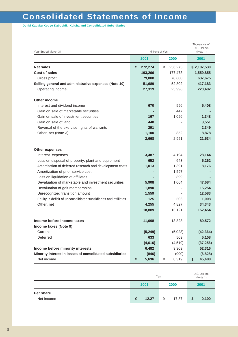# **Consolidated Statements of Income**

**Denki Kagaku Kogyo Kabushiki Kaisha and Consolidated Subsidiaries**

| Year Ended March 31                                             | Thousands of<br>U.S. Dollars<br>Millions of Yen<br>(Note 1) |              |              |  |
|-----------------------------------------------------------------|-------------------------------------------------------------|--------------|--------------|--|
|                                                                 | 2001                                                        | 2000         | 2001         |  |
| <b>Net sales</b>                                                | ¥<br>272,274                                                | 256,273<br>¥ | \$2,197,530  |  |
| <b>Cost of sales</b>                                            | 193,266                                                     | 177,473      | 1,559,855    |  |
| Gross profit                                                    | 79,008                                                      | 78,800       | 637,675      |  |
| Selling general and administrative expenses (Note 10)           | 51,689                                                      | 52,802       | 417,183      |  |
| Operating income                                                | 27,319                                                      | 25,998       | 220,492      |  |
| <b>Other income</b>                                             |                                                             |              |              |  |
| Interest and dividend income                                    | 670                                                         | 596          | 5,408        |  |
| Gain on sale of marketable securities                           |                                                             | 447          |              |  |
| Gain on sale of investment securities                           | 167                                                         | 1,056        | 1,348        |  |
| Gain on sale of land                                            | 440                                                         |              | 3,551        |  |
| Reversal of the exercise rights of warrants                     | 291                                                         |              | 2,349        |  |
| Other, net (Note 3)                                             | 1,100                                                       | 852          | 8,878        |  |
|                                                                 | 2,668                                                       | 2,951        | 21,534       |  |
| <b>Other expenses</b>                                           |                                                             |              |              |  |
| Interest expenses                                               | 3,487                                                       | 4,194        | 28,144       |  |
| Loss on disposal of property, plant and equipment               | 652                                                         | 643          | 5,262        |  |
| Amortization of deferred research and development costs         | 1,013                                                       | 1,391        | 8,176        |  |
| Amortization of prior service cost                              |                                                             | 1,597        |              |  |
| Loss on liquidation of affiliates                               |                                                             | 899          |              |  |
| Devaluation of marketable and investment securities             | 5,908                                                       | 1,064        | 47,684       |  |
| Devaluation of golf memberships                                 | 1,890                                                       |              | 15,254       |  |
| Unrecognized transition amount                                  | 1,559                                                       |              | 12,583       |  |
| Equity in deficit of unconsolidated subsidiaries and affiliates | 125                                                         | 506          | 1,008        |  |
| Other, net                                                      | 4,255                                                       | 4,827        | 34,343       |  |
|                                                                 | 18,889                                                      | 15,121       | 152,454      |  |
| Income before income taxes                                      | 11,098                                                      | 13,828       | 89,572       |  |
| Income taxes (Note 9)                                           |                                                             |              |              |  |
| Current                                                         | (5, 249)                                                    | (5,028)      | (42, 364)    |  |
| Deferred                                                        | 633                                                         | 509          | 5,108        |  |
|                                                                 | (4,616)                                                     | (4, 519)     | (37, 256)    |  |
| Income before minority interests                                | 6,482                                                       | 9,309        | 52,316       |  |
| Minority interest in losses of consolidated subsidiaries        | (846)                                                       | (990)        | (6, 828)     |  |
| Net income                                                      | ¥<br>5,636                                                  | 8,319<br>¥   | 45,488<br>\$ |  |

|            | Yen |       |   | U.S. Dollars<br>(Note 1) |    |       |
|------------|-----|-------|---|--------------------------|----|-------|
|            |     | 2001  |   | 2000                     |    | 2001  |
| Per share  |     |       |   |                          |    |       |
| Net income | ¥   | 12.27 | ¥ | 17.87                    | \$ | 0.100 |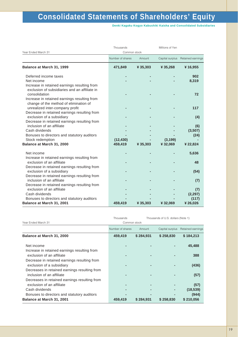**Denki Kagaku Kogyo Kabushiki Kaisha and Consolidated Subsidiaries**

|                                                                                                                | Thousands        |          | Millions of Yen |                                   |
|----------------------------------------------------------------------------------------------------------------|------------------|----------|-----------------|-----------------------------------|
| Year Ended March 31                                                                                            | Common stock     |          |                 |                                   |
|                                                                                                                | Number of shares | Amount   |                 | Capital surplus Retained earnings |
| Balance at March 31, 1999                                                                                      | 471,849          | ¥ 35,303 | ¥35,268         | ¥16,955                           |
| Deferred income taxes                                                                                          |                  |          |                 | 902                               |
| Net income                                                                                                     |                  |          |                 | 8,319                             |
| Increase in retained earnings resulting from<br>exclusion of subsidiaries and an affiliate in<br>consolidation |                  |          |                 | 72                                |
| Increase in retained earnings resulting from<br>change of the method of elimination of                         |                  |          |                 |                                   |
| unrealized inter-company profit                                                                                |                  |          |                 | 117                               |
| Decrease in retained earnings resulting from<br>exclusion of a subsidiary                                      |                  |          |                 | (4)                               |
| Decrease in retained earnings resulting from                                                                   |                  |          |                 |                                   |
| inclusion of an affiliate                                                                                      |                  |          |                 | (6)                               |
| Cash dividends<br>Bonuses to directors and statutory auditors                                                  |                  |          |                 | (3,507)<br>(24)                   |
| Stock redemption                                                                                               | (12, 430)        |          | (3, 199)        |                                   |
| Balance at March 31, 2000                                                                                      | 459,419          | ¥ 35,303 | ¥32,069         | ¥ 22,824                          |
|                                                                                                                |                  |          |                 |                                   |
| Net income                                                                                                     |                  |          |                 | 5,636                             |
| Increase in retained earnings resulting from                                                                   |                  |          |                 |                                   |
| exclusion of an affiliate                                                                                      |                  |          |                 | 48                                |
| Decrease in retained earnings resulting from                                                                   |                  |          |                 |                                   |
| exclusion of a subsidiary                                                                                      |                  |          |                 | (54)                              |
| Decrease in retained earnings resulting from<br>inclusion of an affiliate                                      |                  |          |                 |                                   |
| Decrease in retained earnings resulting from                                                                   |                  |          |                 | (7)                               |
| exclusion of an affiliate                                                                                      |                  |          |                 | (7)                               |
| Cash dividends                                                                                                 |                  |          |                 | (2, 297)                          |
| Bonuses to directors and statutory auditors                                                                    |                  |          |                 | (117)                             |
| Balance at March 31, 2001                                                                                      | 459,419          | ¥ 35,303 | ¥32,069         | ¥26,026                           |
|                                                                                                                |                  |          |                 |                                   |

Common stock Thousands Thousands of U.S. dollars (Note 1) Year Ended March 31

|                                               | Number of shares | Amount    | Capital surplus | Retained earnings |
|-----------------------------------------------|------------------|-----------|-----------------|-------------------|
| Balance at March 31, 2000                     | 459,419          | \$284,931 | \$258,830       | \$184,213         |
| Net income                                    |                  |           |                 | 45,488            |
| Increase in retained earnings resulting from  |                  |           |                 |                   |
| exclusion of an affiliate                     |                  |           |                 | 388               |
| Decrease in retained earnings resulting from  |                  |           |                 |                   |
| exclusion of a subsidiary                     |                  |           |                 | (436)             |
| Decreases in retained earnings resulting from |                  |           |                 |                   |
| inclusion of an affiliate                     |                  |           |                 | (57)              |
| Decreases in retained earnings resulting from |                  |           |                 |                   |
| exclusion of an affiliate                     |                  |           |                 | (57)              |
| Cash dividends                                |                  |           |                 | (18, 539)         |
| Bonuses to directors and statutory auditors   |                  |           |                 | (944)             |
| <b>Balance at March 31, 2001</b>              | 459,419          | \$284,931 | \$258,830       | \$210,056         |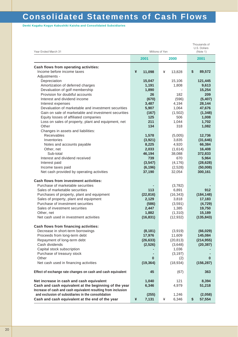# **Consolidated Statements of Cash Flows**

**Denki Kagaku Kogyo Kabushiki Kaisha and Consolidated Subsidiaries**

| Year Ended March 31                                           | Millions of Yen  | Thousands of<br>U.S. Dollars<br>(Note 1) |                     |
|---------------------------------------------------------------|------------------|------------------------------------------|---------------------|
|                                                               | 2001             | 2000                                     | 2001                |
| Cash flows from operating activities:                         |                  |                                          |                     |
| Income before income taxes                                    | ¥<br>11,098      | ¥<br>13,828                              | \$<br>89,572        |
| Adjustments -                                                 |                  |                                          |                     |
| Depreciation<br>Amortization of deferred charges              | 15,047<br>1,191  | 15,106<br>1,808                          | 121,445<br>9,613    |
| Devaluation of golf membership                                | 1,890            |                                          | 15,254              |
| Provision for doubtful accounts                               | 26               | 182                                      | 209                 |
| Interest and dividend income                                  | (670)            | (596)                                    | (5,407)             |
| Interest expenses                                             | 3,487            | 4,194                                    | 28,144              |
| Devaluation of marketable and investment securities           | 5,907            | 1,064                                    | 47,676              |
| Gain on sale of marketable and investment securities          | (167)            | (1,502)                                  | (1, 348)            |
| Equity losses of affiliated companies                         | 125              | 506                                      | 1,008               |
| Loss on sales of property, plant and equipment, net           | 211              | 1,044                                    | 1,702               |
| Other                                                         | 134              | 318                                      | 1,082               |
| Changes in assets and liabilities:<br><b>Receivables</b>      |                  |                                          |                     |
| Inventories                                                   | 1,578<br>(3,921) | (5,005)<br>3,835                         | 12,736<br>(31, 646) |
| Notes and accounts payable                                    | 8,225            | 4,920                                    | 66,384              |
| Other, net                                                    | 2,033            | (1,614)                                  | 16,408              |
| Sub-total                                                     | 46,194           | 38,088                                   | 372,833             |
| Interest and dividend received                                | 739              | 670                                      | 5,964               |
| Interest paid                                                 | (3, 547)         | (4, 176)                                 | (28, 628)           |
| Income taxes paid                                             | (6, 196)         | (2,528)                                  | (50,008)            |
| Net cash provided by operating activities                     | 37,190           | 32,054                                   | 300,161             |
| <b>Cash flows from investment activities:</b>                 |                  |                                          |                     |
| Purchase of marketable securities                             |                  | (3,782)                                  |                     |
| Sales of marketable securities                                | 113              | 6,891                                    | 912                 |
| Purchases of property, plant and equipment                    | (22, 816)        | (16, 343)                                | (184, 148)          |
| Sales of property, plant and equipment                        | 2,129            | 3,818                                    | 17,183              |
| Purchase of investment securities                             | (586)            | (3,591)                                  | (4, 729)            |
| Sales of investment securities                                | 2,447            | 1,385                                    | 19,750              |
| Other, net                                                    | 1,882            | (1, 310)                                 | 15,189              |
| Net cash used in investment activities                        | (16, 831)        | (12, 932)                                | (135, 843)          |
| Cash flows from financing activities:                         |                  |                                          |                     |
| Decrease in short-term borrowings                             | (8, 181)         | (3,919)                                  | (66, 029)           |
| Proceeds from long-term debt                                  | 17,976           | 11,609                                   | 145,084             |
| Repayment of long-term debt<br>Cash dividends                 | (26, 633)        | (20, 813)                                | (214, 955)          |
| Capital stock subscription                                    | (2,526)          | (3,648)<br>1,036                         | (20, 387)           |
| Purchase of treasury stock                                    |                  | (3, 197)                                 |                     |
| Other                                                         | 0                | (2)                                      | 0                   |
| Net cash used in financing activities                         | (19, 364)        | (18, 934)                                | (156, 287)          |
| Effect of exchange rate changes on cash and cash equivalent   | 45               | (67)                                     | 363                 |
| Net increase in cash and cash equivalent                      | 1,040            | 121                                      | 8,394               |
| Cash and cash equivalent at the beginning of the year         | 6,346            | 4,979                                    | 51,218              |
| Increase of cash and cash equivalent resulting from inclusion |                  |                                          |                     |
| and exclusion of subsidiaries in the consolidation            | (255)            | 1,246                                    | (2,058)             |
| Cash and cash equivalent at the end of the year               | 7,131<br>¥       | 6,346<br>¥                               | 57,554<br>\$        |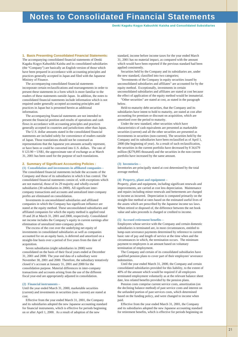# **Notes to Consolidated Financial Statements**

**Denki Kagaku Kogyo Kabushiki Kaisha and Consolidated Subsidiaries**

**1. Basis Presenting Consolidated Financial Statements:**

The accompanying consolidated financial statements of Denki Kagaku Kogyo Kabushiki Kaisha and its consolidated subsidiaries (the "Company") are basically an English version of those which have been prepared in accordance with accounting principles and practices generally accepted in Japan and filed with the Japanese Ministry of Finance.

The accompanying consolidated financial statements incorporate certain reclassifications and rearrangements in order to present these statements in a form which is more familiar to the readers of these statements outside Japan. In addition, the notes to consolidated financial statements include information which is not required under generally accepted accounting principles and practices in Japan but is presented herein as additional information.

The accompanying financial statements are not intended to present the financial position and results of operations and cash flows in accordance with accounting principles and practices generally accepted in countries and jurisdictions other than Japan.

The U.S. dollar amounts stated in the consolidated financial statements are included solely for convenience of readers outside of Japan. Those translations should not be construed as representations that the Japanese yen amounts actually represent, or have been or could be converted into U.S. dollars. The rate of  $\frac{4}{7}$  123.90 = US\$1, the approximate rate of exchange as at March 31, 2001 has been used for the purpose of such translations.

#### **2. Summary of Significant Accounting Policies : (1) Consolidation and investments in affiliated companies –**

The consolidated financial statements include the accounts of the Company and those of its subsidiaries in which it has control. The consolidated financial statements consist of, with exceptions which are not material, those of its 29 majority and wholly-owned subsidiaries (30 subsidiaries in 2000). All significant intercompany transactions and accounts and unrealized inter-company profits are eliminated on consolidation.

Investments in unconsolidated subsidiaries and affiliated companies in which the Company has significant influence are stated at the equity method. These unconsolidated subsidiaries and affiliated companies for which the equity method is applied total 19 and 20 at March 31, 2001 and 2000, respectively. Consolidated net income includes the Company's equity in current earnings after elimination of unrealized inter-company profits.

The excess of the cost over the underlying net equity of investments in consolidated subsidiaries as well as companies accounted for on an equity basis, is deferred and amortized on a straight-line basis over a period of five years from the date of acquisition.

Seven subsidiaries (eight subsidiaries in 2000) were consolidated on the basis of their fiscal years ended at December 31, 2001 and 2000. The year end data of a subsidiary were November 30, 2001 and 2000. Therefore, the subsidiary tentatively closed it's account at January 31, 2001 and 2000 for the consolidation purpose. Material differences in inter-company transactions and accounts arising from the use of the different fiscal year-end are appropriately adjusted in consolidation.

#### **(2) Financial instruments –**

Until the year ended March 31, 2000, marketable securities (current) and investments in securities (non- current) are stated at cost.

Effective from the year ended March 31, 2001, the Company and its subsidiaries adopted the new Japanese accounting standard for financial instruments, which is effective for periods beginning on or after April 1, 2000. As a result of adoption of the new

standard, income before income taxes for the year ended March 31, 2001 has no material impact, as compared with the amount which would have been reported if the previous standard had been applied consistently.

Securities held by the Company and its subsidiaries are, under the new standard, classified into two categories;

"Investments of the Company in equity securities issued by unconsolidated subsidiaries and affiliates" are accounted for by the equity method. Exceptionally, investments in certain unconsolidated subsidiaries and affiliates are stated at cost because the effect of application of the equity method would be immaterial. "Other securities" are stated at cost, as stated in the paragraph

below.

Held-to-maturity debt securities, that the Company and its subsidiaries have intent to hold to maturity, are stated at cost after accounting for premium or discount on acquisition, which are amortized over the period to maturity.

Under the new standard, other securities which have characteristics of cash equivalents are presented as marketable securities (current) and all the other securities are presented as investments in securities (non-current). The securities held by the Company and its subsidiaries have been reclassified as of April 1, 2000 (the beginning of year). As a result of such reclassification, the securities in the current portfolio have decreased by ¥ 34,679 million (\$279,895 thousand) and the securities in the non-current portfolio have increased by the same amount.

#### **(3) Inventories –**

Inventories are principally stated at cost determined by the total average method.

#### **(4) Property, plant and equipment –**

Property, plant and equipment, including significant renewals and improvements, are carried at cost less depreciation. Maintenance and repairs including minor renewals and betterments are charged to income as incurred. Depreciation is computed primarily on the straight-line method at rates based on the estimated useful lives of the assets which are prescribed by the Japanese income tax laws. When retired or disposed of, the difference between the net book value and sales proceeds is charged or credited to income.

#### **(5) Accrued retirement benefits –**

Employees whose service with the Company and certain domestic subsidiaries is terminated are, in most circumstances, entitled to lump-sum severance payments determined by reference to current basic rate of pay and length of service at the time when and the circumstances in which, the termination occurs. The minimum payment to employees is an amount based on voluntary termination of employment.

The Company and certain of its consolidated subsidiaries have qualified pension plans to cover part of their employees' severance indemnities.

Until the year ended March 31, 2000, the Company and certain consolidated subsidiaries provided for this liability, to the extent of 40% of the amount which would be required if all employees terminated employment voluntarily as at the relevant balance sheet date, less related benefits provided by the pension plans.

Pension costs comprise current service costs, amortization (on the declining balance method) of past service costs and interest on the unfunded portion of past services costs, which determined based on the funding policy, and were changed to income when paid.

Effective from the year ended March 31, 2001, the Company and its subsidiaries adopted the new Japanese accounting standard for retirement benefits, which is effective for periods beginning on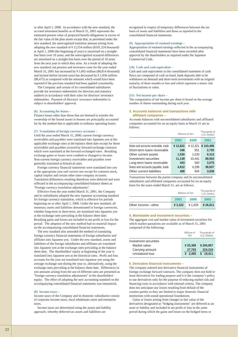or after April 1, 2000. In accordance with the new standard, the accrued retirement benefits as of March 31, 2001 represents the estimated present value of projected benefit obligations in excess of the fair value of the plan assets except that, as permitted under the new standard, the unrecognized transition amount arising from adopting the new standard of ¥ 12,554 million (\$101,324 thousand) at April 1, 2000 (the beginning of year) is amortized on a straightline basis over 10 years, and the unrecognized actuarial differences are amortized on a straight-line basis over the period of 10 years from the next year in which they arise. As a result of adopting the new standard, net pension and severance costs for the year ended March 31, 2001 has increased by ¥ 1,092 million (\$8,814 thousand) and income before income taxes has decreased by ¥ 1,050 million (\$8,475) as compared with the amounts which would have been reported if the previous standard had been applied consistently.

The Company and certain of its consolidated subsidiaries provide for severance indemnities for directors and statutory auditors in accordance with their rules for directors' severance indemnities. Payment of directors' severance indemnities is subject to shareholders' approval.

#### **(6) Accounting for leases –**

Finance leases other than those that are deemed to transfer the ownership of the leased assets to lessees are principally accounted for by the method that is applicable to ordinary operating leases.

#### **(7) Translation of foreign currency accounts –**

Until the year ended March 31, 2000, current foreign currency receivables and payables were translated into Japanese yen at the applicable exchange rates at the balance sheet date except for those receivables and payables covered by forward exchange contracts which were translated at the forward exchanged rates. Resulting exchange gains or losses were credited or changed to income. Non-current foreign currency receivables and payables were generally translated at historical rates.

Foreign currency financial statements were translated into yen at the appropriate year end current rate except for common stock, capital surplus and certain other inter-company accounts. Translation differences resulting therefrom were deferred and were reflected in the accompanying consolidated balance sheets as "Foreign currency translation adjustments".

Effective from the year ended March 31, 2001, the Company and its subsidiaries adopted the new Japanese accounting standard for foreign currency translation, which is effective for periods beginning on or after April 1, 2000. Under the new standard, all monetary assets and liabilities denominated in foreign currencies, whether long-term or short-term, are translated into Japanese yen at the exchange rates prevailing at the balance sheet date. Resulting gains and losses are included in net profit or loss for the period. The adoption of the new method had no material impact on the accompanying consolidated financial statements.

The new standard also amended the method of translating foreign currency financial statements of foreign subsidiaries and affiliates into Japanese yen. Under the new standard, assets and liabilities of the foreign subsidiaries and affiliates are translated into Japanese yen at the exchange rates prevailing at the balance sheet date. The shareholders' equity at beginning of the year is translated into Japanese yen at the historical rates. Profit and loss accounts for the year are translated into Japanese yen using the average exchange rate during the year or, alternatively, using the exchange rates prevailing at the balance sheet date. Differences in yen amounts arising from the use of different rates are presented as "foreign currency translation adjustments" in the shareholders' equity. The effect of adopting the new accounting standard on the accompanying consolidated financial statements was immaterial.

#### **(8) Income taxes –**

Income taxes of the Company and its domestic subsidiaries consist of corporate income taxes, local inhabitants taxes and enterprise taxes.

Income taxes are determined using the assets and liability approach, whereby deferred tax assets and liabilities are

recognized in respect of temporary differences between the tax basis of assets and liabilities and those as reported in the consolidated financial statements.

#### **(9) Appropriation of retained earnings –**

Appropriation of retained earnings reflected in the accompanying consolidated financial statements have been recorded after approval by the shareholders as required under the Japanese Commercial Code.

#### **(10) Cash and cash equivalent –**

Cash and cash equivalents in the consolidated statement of cash flows are composed of cash on hand, bank deposits able to be withdrawn on demand and short-term investments with an original maturity of three months or less and which represent a minor risk of fluctuations in value.

#### **(11) Net income per share –**

The computation of net income per share is based on the average number of shares outstanding during each year.

#### **3. Accounts balances and transactions with affiliated companies –**

Accounts balances with unconsolidated subsidiaries and affiliated companies accounted for on an equity basis at March 31 are as follows:

|                                      | Millions of Yen | Thousands of<br>U.S. Dollars |           |
|--------------------------------------|-----------------|------------------------------|-----------|
|                                      | 2001            | 2000                         | 2001      |
| Notes and accounts receivable, trade | ¥12,822         | ¥12,321                      | \$103,486 |
| Short-term loans receivable          | 346             | 951                          | 2.792     |
| Other current assets                 | 1,030           | 1,033                        | 8,313     |
| Investment securities                | 11,139          | 10.441                       | 89,903    |
| Long-term loans receivable           | 443             | 560                          | 3.575     |
| Notes and accounts payable, trade    | 4,812           | 4,299                        | 38,837    |
| Other current liabilities            | 488             | 504                          | 3,938     |
|                                      |                 |                              |           |

Transactions between the parent company and its unconsolidated subsidiaries and affiliated companies accounted for on an equity basis for the years ended March 31, are as follows:

|                    | Millions of Yen | Thousands of<br>U.S. Dollars |          |
|--------------------|-----------------|------------------------------|----------|
|                    | 2001            | 2000                         | 2001     |
| Other income-other | ¥ 3.322         | ¥1.629                       | \$26.811 |

#### **4. Marketable and investment securities –**

The aggregate cost and market value of investment securities for which market quotations are available as of March 31, 2001 composed of the following:

|                                                                             | Millions of<br>Yen             | Thousands of<br>U.S. Dollars     |
|-----------------------------------------------------------------------------|--------------------------------|----------------------------------|
| Investment securities<br>Market value<br>Carrying amount<br>Unrealized loss | ¥25.388<br>27,793<br>¥ $2.405$ | \$204.907<br>224,318<br>\$19.411 |

#### **5. Derivative financial instruments –**

The company entered into derivative financial instruments of foreign exchange forward contracts. The company does not hold or issue derivatives for trading purpose and it is the company's policy to use derivatives only for the purpose of reducing market risk and financing costs in accordance with internal criteria. The company does not anticipate any losses resulting from default of the counter-parties as they are limited to major domestic financial institutions with sound operational foundations.

Gains or losses arising from changes in fair value of the derivatives designated as "hedging instruments" are deferred as an asset or liability and included in net profit or loss in the same period during which the gains and losses on the hedged items or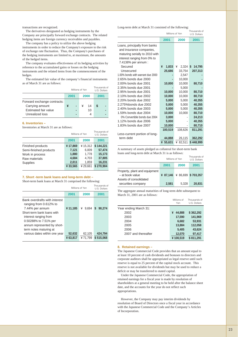transactions are recognized.

The derivatives designated as hedging instruments by the Company are principally forward exchange contracts. The related hedging items are foreign currency receivables and payables.

The company has a policy to utilize the above hedging instruments in order to reduce the Company's exposure to the risk of exchange rate fluctuation. Thus, the Company's purchases of the hedging instruments are limited to, at maximum, the amounts of the hedged items.

The company evaluates effectiveness of its hedging activities by reference to the accumulated gains or losses on the hedging instruments and the related items from the commencement of the hedges.

The estimated fair value of the company's financial instruments as of March 31 are as follows:

|                                                                                           | Millions of Yen |  |  | Thousands of<br>U.S. Dollars |      |  |
|-------------------------------------------------------------------------------------------|-----------------|--|--|------------------------------|------|--|
|                                                                                           | 2001            |  |  | 2000                         | 2001 |  |
| Forward exchange contracts:<br>Carrying amount<br>Estimated fair value<br>Unrealized loss | ¥               |  |  | 14<br>10                     | S    |  |

#### **6. Inventories –**

Inventories at March 31 are as follows:

|                        | Millions of Yen | Thousands of<br>U.S. Dollars |           |
|------------------------|-----------------|------------------------------|-----------|
|                        | 2001            | 2000                         | 2001      |
| Finished products      | ¥17,869         | ¥15.312                      | \$144.221 |
| Semi-finished products | 7,121           | 6,009                        | 57,474    |
| Work in process        | 1,880           | 1.778                        | 15,173    |
| Raw materials          | 4,684           | 4,703                        | 37,805    |
| <b>Supplies</b>        | 2,011           | 1,859                        | 16,231    |
|                        | ¥33.565         | ¥29.661                      | \$270.904 |

### **7. Short -term bank loans and long-term debt –**

Short-term bank loans at March 31 comprised the following:

|                                                                                                                                                                                                                     | Millions of Yen   | Thousands of<br>U.S. Dollars |                      |
|---------------------------------------------------------------------------------------------------------------------------------------------------------------------------------------------------------------------|-------------------|------------------------------|----------------------|
|                                                                                                                                                                                                                     | 2001              | 2000                         | 2001                 |
| Bank overdrafts with interest<br>ranging from 0.612% to<br>7.44% per annum<br>Short-term bank loans with<br>interest ranging from<br>0.50288% to 7.51% per<br>annum represented by short-<br>term notes maturing at | ¥11,185           | ¥<br>9.694                   | S<br>90.274          |
| various dates within one year                                                                                                                                                                                       | 52,632<br>¥63.817 | 62,105<br>¥71.799            | 424,794<br>\$515.068 |

Long-term debt at March 31 consisted of the following:

|                                   | Millions of Yen | Thousands of<br>U.S. Dollars |              |
|-----------------------------------|-----------------|------------------------------|--------------|
|                                   | 2001            | 2000                         | 2001         |
| Loans, principally from banks     |                 |                              |              |
| and insurance companies,          |                 |                              |              |
| maturing serially to 2010 with    |                 |                              |              |
| interest ranging from 0% to       |                 |                              |              |
| 7.4138% per annum :               |                 |                              |              |
| Secured                           | ¥<br>1,833      | ¥<br>2,324                   | 14,795<br>\$ |
| Unsecured                         | 25,686          | 33,754                       | 207,313      |
| 1.00% bonds with warrant due 2000 |                 | 2,547                        |              |
| 2.65% bonds due 2000              |                 | 10,000                       |              |
| 2.00% bonds due 2001              | 10,000          | 10,000                       | 80,710       |
| 2.35% bonds due 2001              |                 | 5,000                        |              |
| 2.95% bonds due 2001              | 10,000          | 10,000                       | 80,710       |
| 2.10% bonds due 2002              | 10,000          | 10,000                       | 80,710       |
| 2.20% bonds due 2002              | 5,000           | 5,000                        | 40,355       |
| 2.275%bonds due 2002              | 5,000           | 5,000                        | 40,355       |
| 2.40% bonds due 2003              | 5,000           | 5,000                        | 40,355       |
| 1.59% bonds due 2004              | 10,000          | 10,000                       | 80,710       |
| 0% Convertible bonds due 2004     | 3,000           |                              | 24,213       |
| 1.12% bonds due 2006              | 5,000           |                              | 40,355       |
| 1.83% bonds due 2007              | 10,000          |                              | 80,710       |
|                                   | 100,519         | 108,626                      | 811,291      |
| Less-current portion of long-     |                 |                              |              |
| term debt                         | 44,888          | 26,115                       | 362,292      |
|                                   | ¥ 55,631        | ¥ 82,511                     | \$448,999    |

A summary of assets pledged as collateral for short-term bank loans and long-term debt at March 31 is as follows:

|                                                  | Millions of Yen | Thousands of<br>U.S. Dollars |        |
|--------------------------------------------------|-----------------|------------------------------|--------|
|                                                  | 2001            | 2000                         | 2001   |
| Property, plant and equipment<br>- at book value |                 | ¥ 87,146 ¥ 86,699 \$ 703,357 |        |
| Assets of consolidated<br>securities company     | 2,581           | 5.328                        | 20,831 |

The aggregate annual maturities of long-term debt subsequent to March 31, 2001 are as follows:

|                       |   | Millions of<br>Yen | Thousands of<br>U.S. Dollars |
|-----------------------|---|--------------------|------------------------------|
| Year ending March 31: |   |                    |                              |
| 2002                  | ¥ | 44,888             | \$362,292                    |
| 2003                  |   | 17,590             | 141,969                      |
| 2004                  |   | 6,682              | 53,931                       |
| 2005                  |   | 13,884             | 112,058                      |
| 2006                  |   | 5,405              | 43,624                       |
| 2007 and thereafter   |   | 12,070             | 97,417                       |
|                       |   | ¥100.519           | \$811,291                    |

#### **8. Retained earnings –**

The Japanese Commercial Code provides that an amount equal to at least 10 percent of cash dividends and bonuses to directors and corporate auditors shall be appropriated as legal reserve until such reserve is equal to 25 percent of the capital stock account. This reserve is not available for dividends but may be used to reduce a deficit or may be transferred to stated capital.

Under the Japanese Commercial Code, the appropriation of retained earnings for a fiscal year is made by resolution of shareholders at a general meeting to be held after the balance sheet date, and the accounts for the year do not reflect such appropriations.

However, the Company may pay interim dividends by resolution of Board of Directors once a fiscal year in accordance with the Japanese Commercial Code and the Company's Articles of Incorporation.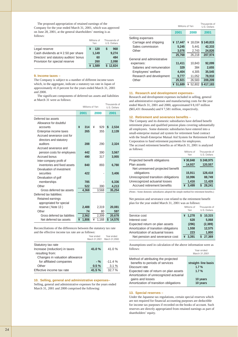The proposed appropriation of retained earnings of the Company for the year ended March 31, 2001, which was approved on June 28, 2001, at the general shareholders' meeting is as follows:

|                                          | Millions of<br>Yen | Thousands of<br>U.S. Dollars |
|------------------------------------------|--------------------|------------------------------|
| Legal reserve                            | 120                | 968                          |
| Cash dividends at ¥ 2.50 per share       | 1,149              | 9,274                        |
| Directors' and statutory auditors' bonus | 60                 | 484                          |
| Provision for special reserve            | 260                | 2,098                        |
|                                          | ¥ 1.589            | 12,824                       |

#### **9. Income taxes –**

The Company is subject to a number of different income taxes which, in the aggregate, indicate a statutory tax rate in Japan of approximately 41.0 percent for the years ended March 31, 2001 and 2000.

The significant components of deferred tax assets and liabilities at March 31 were as follows:

Thousands of

Year ended

|                                | Millions of Yen |       |      | U.S. Dollars |              |
|--------------------------------|-----------------|-------|------|--------------|--------------|
|                                | 2001            |       | 2000 |              | 2001         |
| Deferred tax assets            |                 |       |      |              |              |
| Allowance for doubtful         |                 |       |      |              |              |
| accounts                       | ¥               | 314   | ¥    | 929          | \$<br>2,534  |
| Enterprise income taxes        |                 | 265   |      | 355          | 2,139        |
| Accrued severance cost for     |                 |       |      |              |              |
| directors and statutory        |                 |       |      |              |              |
| auditors                       |                 | 288   |      | 290          | 2,324        |
| Accrued severance and          |                 |       |      |              |              |
| pension costs for employees    |                 | 442   |      | 390          | 3,567        |
| <b>Accrued bonus</b>           |                 | 490   |      | 317          | 3,955        |
| Inter-company profit of        |                 |       |      |              |              |
| inventories and fixed assets   |                 | 840   |      | 893          | 6,780        |
| Devaluation of investment      |                 |       |      |              |              |
| securities                     |                 | 422   |      |              | 3,406        |
| Devaluation of golf            |                 |       |      |              |              |
| memberships                    |                 | 785   |      |              | 6,336        |
| Other                          |                 | 522   |      | 390          | 4,213        |
| Gross deferred tax assets      |                 | 4,368 |      | 3,568        | 35,254       |
| Deferred tax liabilities:      |                 |       |      |              |              |
| Retained earnings              |                 |       |      |              |              |
| appropriated for special       |                 |       |      |              |              |
| reserve (Note 13)              |                 | 2,488 |      | 2,319        | 20,081       |
| Other                          |                 | 74    |      | 80           | 597          |
| Gross deferred tax liabilities |                 | 2,562 |      | 2,399        | 20,678       |
| Net deferred tax assets        | ¥               | 1,806 | ¥    | 1,168        | \$<br>14,576 |

Reconciliations of the differences between the statutory tax rate and the effective income tax rate are as follows:

|                                | Year ended<br>March 31,2001 | Year ended<br>March 31,2000 |
|--------------------------------|-----------------------------|-----------------------------|
| Statutory tax rate             |                             |                             |
| Increase (reduction) in taxes  | 41.0%                       | 41.0 $%$                    |
| resulting from:                |                             |                             |
| Changes in valuation allowance |                             |                             |
| for affiliated companies       | $-$ %                       | $-11.4%$                    |
| Other                          | 0.5%                        | 3.1%                        |
| Effective income tax rate      | 41.5%                       | 32.7 %                      |

**10. Selling, general and administrative expenses–** Selling, general and administrative expenses for the years ended March 31, 2001 and 2000 comprised the following:

|                            | Millions of Yen | Thousands of<br>U.S. Dollars |           |
|----------------------------|-----------------|------------------------------|-----------|
|                            | 2001            | 2000                         | 2001      |
| Selling expenses           |                 |                              |           |
| Carriage and shipping      | 17,447<br>¥     | ¥ 18,034                     | \$140,815 |
| Sales commission           | 5,245           | 5,441                        | 42,333    |
| Other                      | 3,076           | 2,743                        | 24.826    |
|                            | 25,768          | 26,218                       | 207,974   |
| General and administrative |                 |                              |           |
| expenses:                  | 11.411          | 10.843                       | 92,099    |
| Salaries and remuneration  | 329             | 384                          | 2,655     |
| Employees' welfare         | 4,404           | 4.305                        | 35,545    |
| Research and development   | 9,777           | 11,052                       | 78,910    |
| Other                      | 25,921          | 26,583                       | 209,209   |
|                            | 51.689<br>¥     | 52.802<br>¥                  | \$417.183 |

#### **11. Research and development expenses–**

Research and development expenses included in selling, general and administrative expenses and manufacturing costs for the year ended March 31, 2001 and 2000, approximated ¥ 8,107 million (\$65,431 thousands) and ¥ 7,581 million, respectively.

#### **12. Retirement and severance benefits –**

The Company and its domestic subsidiaries have defined benefit retirement plans and qualified pension plans covering substantially all employees. Some domestic subsidiaries have entered into a small-enterprise mutual aid system for retirement fund contract with the Small-Enterprise Mutual Aid System for Retirement Fund Corporation to fund retirement payments for employees.

The accrued retirement benefits as of March 31, 2001 is analyzed as follows:

|                                     | Millions of<br>Yen | Thousands of<br>U.S. Dollars |
|-------------------------------------|--------------------|------------------------------|
| Projected benefit obligations       | ¥30,848            | \$248,975                    |
| Plan assets                         | 14,937             | 120,557                      |
| Net unreserved projected benefit    |                    |                              |
| obligations                         | 15.911             | 128,418                      |
| Unrecognized transition obligations | 10,996             | 88,749                       |
| Unrecognized actuarial losses       | 1,416              | 11,428                       |
| Accrued retirement benefits         | 3.499              | 28.241                       |

(Notes : Some domestic subsidiaries adopted the simple method for retirement benefits.)

Net pension and severance cost related to the retirement benefit plan for the year ended March 31, 2001 was as follows: Millions of Thousands of

|                                        | 191111111113311<br>Yen | .<br>U.S. Dollars |
|----------------------------------------|------------------------|-------------------|
| Service cost                           | ¥ 1,278                | 10,315<br>S.      |
| Interest cost                          | 628                    | 5.068             |
| Expected return on plan assets         | (296)                  | (2,389)           |
| Amortization of transition obligations | 1,558                  | 12,575            |
| Amortization of actuarial losses       | 223                    | 1,800             |
| Net pension and severance cost         | ¥ 3,391                | 27,369            |

Assumptions used in calculation of the above information were as follows:

| 10110110 <b>1</b>                      | Year ended<br>March 31.2001 |
|----------------------------------------|-----------------------------|
| Method of attributing the projected    |                             |
| benefits to periods of services        | straight-line basis         |
| Discount rate                          | 1.7%                        |
| Expected rate of return on plan assets | 1.7%                        |
| Amortization of unrecognized actuarial |                             |
| gains and losses                       | 10 years                    |
| Amortization of transition obligations | 10 years                    |
|                                        |                             |

#### **13. Special reserves –**

Under the Japanese tax regulations, certain special reserves which are not required for financial accounting purposes are deductible for income tax purposes if recorded on the books of account. Such reserves are directly appropriated from retained earnings as part of shareholders' equity.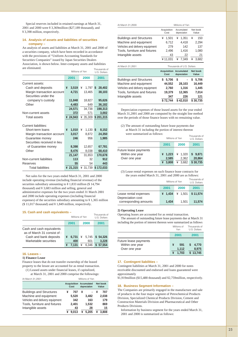Special reserves included in retained earnings at March 31, 2001 and 2000 were ¥ 3,369million (\$27,189 thousand), and ¥ 3,398 million, respectively.

#### **14. Analysis of assets and liabilities of securities company –**

An analysis of assets and liabilities at March 31, 2001 and 2000 of a securities company, which have been recorded in accordance with the provisions of "Uniform Accounting Standards for Securities Companies" issued by Japan Securities Dealers Association, is shown below. Inter-company assets and liabilities are eliminated. Thousands of

|                             | Millions of Yen | U.S. Dollars |              |
|-----------------------------|-----------------|--------------|--------------|
|                             | 2001            | 2000         | 2001         |
| Current assets:             |                 |              |              |
| Cash and deposits           | ¥<br>3,519      | ¥<br>1,797   | \$<br>28,402 |
| Margin transaction account  | 4,721           | 13,465       | 38,103       |
| Securities under the        |                 |              |              |
| company's custody           | 11,848          | 18,827       | 95,626       |
| Other                       | 4,483           | 649          | 36,182       |
|                             | 24,571          | 34,738       | 198,313      |
| Non-current assets          | 372             | 571          | 3,002        |
| <b>Total assets</b>         | ¥ 24,943        | 35,309<br>¥  | \$201,315    |
|                             |                 |              |              |
| Current liabilities:        |                 |              |              |
| Short-term loans            | 1,010<br>¥      | ¥<br>1,130   | \$<br>8,152  |
| Margin transaction account  | 3,017           | 8,872        | 24,350       |
| Guarantee money             | 246             | 956          | 1,985        |
| Securities received in lieu |                 |              |              |
| of Guarantee money          | 8,398           | 12,657       | 67,781       |
| Other                       | 8,476           | 8,038        | 68,410       |
|                             | 21,147          | 31,653       | 170,678      |
| Non-current liabilities     | 113             | 32           | 912          |
| Reserves                    | 55              | 54           | 443          |
| <b>Total liabilities</b>    | ¥ 21.315        | ¥ 31,739     | \$172.033    |

Net sales for the two years ended March 31, 2001 and 2000 include operating revenue (including financial revenue) of the securities subsidiary amounting to  $\frac{1}{2}$  1,833 million (\$ 14,794) thousand) and ¥ 3,683 million and selling, general and administrative expenses for the two years ended 31 March 2001 and 2000 include operating expenses (including financial expenses) of the securities subsidiary amounting to ¥ 1,365 million (\$ 11,017 thousand) and ¥ 1,849 million, respectively.

#### **15. Cash and cash equivalents –**

|                                                         |   | Millions of Yen |   | Thousands of<br>U.S. Dollars |    |          |
|---------------------------------------------------------|---|-----------------|---|------------------------------|----|----------|
|                                                         |   | 2001            |   | 2000                         |    | 2001     |
| Cash and cash equivalents<br>as of March 31 consist of: |   |                 |   |                              |    |          |
| Cash and bank deposits                                  | ¥ | 6.731           | ¥ | 5,745                        |    | \$54.326 |
| Marketable securities                                   |   | 400             |   | 601                          |    | 3.228    |
|                                                         |   | 7.131           | ¥ | 6.346                        | S. | 57.554   |

#### **16. Leases –**

#### **1) Finance Lease**

Finance leases that do not transfer ownership of the leased property to the lessee are accounted for as rental transaction. (1) Leased assets under financial leases, if capitalized,

at March 31, 2001 and 2000 comprise the followings:

At March 31,2001 Millions of Yen

|   |       |                            |       | <b>Net book</b><br>Value           |       |
|---|-------|----------------------------|-------|------------------------------------|-------|
| ¥ | 707   | ¥                          |       |                                    | 707   |
|   | 5.520 |                            | 3.482 |                                    | 2,038 |
|   | 342   |                            | 163   |                                    | 179   |
|   | 2,401 |                            | 1.532 |                                    | 869   |
|   | 43    |                            | 28    |                                    | 15    |
|   | 9.013 |                            | 5.205 |                                    | 3,808 |
|   |       | <b>Acquisition</b><br>Cost |       | <b>Accumulated</b><br>depreciation |       |

| At March 31,2000                                                                                                                                  | Millions of Yen                                      |                                                         |                                                       |  |  |  |
|---------------------------------------------------------------------------------------------------------------------------------------------------|------------------------------------------------------|---------------------------------------------------------|-------------------------------------------------------|--|--|--|
|                                                                                                                                                   | Acquisition<br>Cost                                  | Accumulated<br>depreciation                             | Net book<br>Value                                     |  |  |  |
| <b>Buildings and Structures</b><br>Machine and equipment<br>Vehicles and delivery equipment<br>Tools, furniture and fixtures<br>Intangible assets | ¥<br>1,501<br>6,712<br>279<br>2,496<br>43<br>¥11,031 | 1,351<br>¥<br>4,418<br>142<br>1,416<br>22<br>7,349<br>¥ | ¥<br>150<br>2,294<br>137<br>1,080<br>21<br>¥<br>3,682 |  |  |  |
| At March 31,2001                                                                                                                                  |                                                      | Thousands of U.S. Dollars                               |                                                       |  |  |  |
|                                                                                                                                                   | <b>Acquisition</b><br>Cost                           | <b>Net book</b><br>Value                                |                                                       |  |  |  |
| <b>Buildings and Structures</b><br>Machine and equipment<br>Vehicles and delivery equipment<br>Tools, furniture and fixtures<br>Intangible assets | 5,706<br>\$<br>44,552<br>2,760<br>19,379<br>347      | \$<br>28,103<br>1,316<br>12,365<br>226                  | S<br>5,706<br>16,449<br>1,445<br>7,014<br>121         |  |  |  |

Depreciation expenses of those leased assets for the year ended March 31,2001 and 2000 are computed by the straight line method over the periods of those finance leases with no remaining value.

**\$ 72,744**

**\$ 42,010**

**\$ 30,735**

(2) The amount of outstanding future lease payments due at March 31 including the portion of interest thereon were summarized as follows:

|                                                           | Millions of Yen               | Thousands of<br>U.S. Dollars |                               |  |
|-----------------------------------------------------------|-------------------------------|------------------------------|-------------------------------|--|
|                                                           | 2001                          | 2000                         | 2001                          |  |
| Future lease payments<br>Within one year<br>Over one year | ¥ $1,223$<br>2,585<br>¥ 3.808 | ¥ 1.320<br>2,362<br>¥ 3.682  | \$9.871<br>20,864<br>\$30,735 |  |

(3) Lease rental expenses on such finance lease contracts for the years ended March 31, 2001 and 2000 are as follows:

| $\cdots$ , which chinese have one of mood with mood with the term in $\cdots$ |                 |                              |          |  |  |  |  |  |
|-------------------------------------------------------------------------------|-----------------|------------------------------|----------|--|--|--|--|--|
|                                                                               | Millions of Yen | Thousands of<br>U.S. Dollars |          |  |  |  |  |  |
|                                                                               | 2001<br>2000    |                              | 2001     |  |  |  |  |  |
| Lease rental expenses<br>Depreciation cost                                    | ¥ 1,434         | ¥ 1.501                      | \$11,574 |  |  |  |  |  |
| corresponding amounts                                                         | 1,434           | 1.501                        | 11,574   |  |  |  |  |  |

#### **2) Operating Lease**

Operating leases are accounted for as rental transaction. The anti-<br>The amount of outstanding future

| The amount of outstanding future lease payments due at March 31      |              |
|----------------------------------------------------------------------|--------------|
| including the portion of interest thereon were summarized as follows |              |
| Millions of                                                          | Thousands of |

|                                                           | Yen                        | U.S. Dollars             |
|-----------------------------------------------------------|----------------------------|--------------------------|
|                                                           | 2001                       | 2001                     |
| Future lease payments<br>Within one year<br>Over one year | ¥<br>591<br>1.112<br>1.703 | 4.770<br>8.975<br>13.745 |

#### **17. Contingent liabilities –**

Contingent liabilities at March 31, 2001 and 2000 for notes receivable discounted and endorsed and loans guaranteed were approximately

¥1,919million (\$15,488 thousand) and ¥2,759million, respectively.

#### **18. Business Segment Information –**

The Companies are primarily engaged in the manufacture and sale of products in the four major segment of Petrochemical Products Division, Specialized Chemical Products Division, Cement and Construction Materials Division and Pharmaceutical and Other Products Divisions.

Information by business segment for the years ended March 31, 2001 and 2000 is summarized as follows: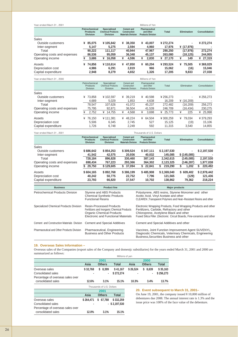| Year ended Mach 31, 2001     |                                                            |        |                                                                   |   |                                                                       |   | Millions of Yen                                         |              |         |   |                    |                      |
|------------------------------|------------------------------------------------------------|--------|-------------------------------------------------------------------|---|-----------------------------------------------------------------------|---|---------------------------------------------------------|--------------|---------|---|--------------------|----------------------|
|                              | <b>Petrochemical</b><br><b>Products</b><br><b>Division</b> |        | <b>Specialized</b><br><b>Chemical Products</b><br><b>Division</b> |   | <b>Cement and</b><br><b>Construction</b><br><b>Materials Division</b> |   | Pharmaceutical<br>and Other<br><b>Products Division</b> | <b>Total</b> |         |   | <b>Elimination</b> | <b>Consolidation</b> |
| Sales                        |                                                            |        |                                                                   |   |                                                                       |   |                                                         |              |         |   |                    |                      |
| Outside customers            | ¥ 85,075                                                   |        | ¥105,842                                                          | ¥ | 38,350                                                                |   | ¥ 43,007                                                | ¥ 272,274    |         |   | ٠                  | ¥ 272,274            |
| Inter-segment                |                                                            | 5,147  | 5.275                                                             |   | 2.594                                                                 |   | 4.960                                                   |              | 17,976  |   | $*(17,976)$        |                      |
| Total                        |                                                            | 90,222 | 111.117                                                           |   | 40.944                                                                |   | 47,967                                                  |              | 290.250 |   | (17,976)           | 272,274              |
| Operating costs and expenses |                                                            | 86,536 | 95,059                                                            |   | 36,348                                                                |   | 45,137                                                  |              | 263,080 |   | (18,125)           | 244,955              |
| Operating income             | ¥                                                          | 3,686  | 16,058<br>¥                                                       | ¥ | 4,596                                                                 | ¥ | 2,830                                                   | ¥ 27,170     |         | ¥ | 149                | ¥ 27,319             |
| Assets                       | ¥                                                          | 74,856 | ¥110.614                                                          | ¥ | 47.850                                                                |   | ¥ $60,204$                                              | ¥ 293,524    |         | ¥ | 75,505             | ¥369,029             |
| Depreciation cost            |                                                            | 4.986  | 6.291                                                             |   | 2,819                                                                 |   | 966                                                     |              | 15,062  |   | (16)               | 15,046               |
| Capital expenditure          |                                                            | 2.948  | 8.279                                                             |   | 4.652                                                                 |   | 1.326                                                   |              | 17.205  |   | 9.833              | 27,038               |

| Year ended Mach 31, 2000     |                                              |                                                            |                                                         | Millions of Yen                                         |           |              |               |
|------------------------------|----------------------------------------------|------------------------------------------------------------|---------------------------------------------------------|---------------------------------------------------------|-----------|--------------|---------------|
|                              | Petrochemical<br>Products<br><b>Division</b> | Specialized<br><b>Chemical Products</b><br><b>Division</b> | Cement and<br>Construction<br><b>Materials Division</b> | Pharmaceutical<br>and Other<br><b>Products Division</b> | Total     | Elimination  | Consolidation |
| Sales                        |                                              |                                                            |                                                         |                                                         |           |              |               |
| Outside customers            | 73.858<br>¥                                  | ¥102.597                                                   | 39.219<br>¥                                             | 40.598<br>¥                                             | ¥ 256.273 | ۰            | ¥256,273      |
| Inter-segment                | 4,689                                        | 5,029                                                      | 1,853                                                   | 4,638                                                   | 16.209    | ¥ $(16,209)$ |               |
| Total                        | 78.547                                       | 107,626                                                    | 41,072                                                  | 45.237                                                  | 272.482   | (16, 209)    | 256,273       |
| Operating costs and expenses | 75.795                                       | 92.871                                                     | 36.504                                                  | 41.539                                                  | 246.709   | (16,434)     | 230,275       |
| Operating income             | 2,752<br>¥                                   | 14.755<br>¥                                                | 4,568<br>¥                                              | 3,698<br>¥                                              | ¥ 25.773  | ¥<br>225     | 25,998<br>¥   |
| Assets                       | 76,150<br>¥                                  | ¥111.381                                                   | 48.224<br>¥                                             | 64.504<br>¥                                             | ¥300,259  | ¥ 79.034     | ¥379,293      |
| Depreciation cost            | 5,506                                        | 6,345                                                      | 2,745                                                   | 527                                                     | 15.125    | (19)         | 15,106        |
| Capital expenditure          | 1.726                                        | 6.748                                                      | 2.249                                                   | 592                                                     | 11.315    | 3.540        | 14,855        |

| Year ended Mach 31, 2001     | Thousands of U.S. Dollars                                  |                                                            |                                                                                                                                         |              |              |                    |                      |  |
|------------------------------|------------------------------------------------------------|------------------------------------------------------------|-----------------------------------------------------------------------------------------------------------------------------------------|--------------|--------------|--------------------|----------------------|--|
|                              | <b>Petrochemical</b><br><b>Products</b><br><b>Division</b> | Specialized<br><b>Chemical Products</b><br><b>Division</b> | <b>Cement and</b><br><b>Pharmaceutical</b><br>and Other<br><b>Construction</b><br><b>Materials Division</b><br><b>Products Division</b> |              | <b>Total</b> | <b>Elimination</b> | <b>Consolidation</b> |  |
| Sales                        |                                                            |                                                            |                                                                                                                                         |              |              |                    |                      |  |
| Outside customers            | \$686,642                                                  | \$854,253                                                  | \$309,524                                                                                                                               | \$347,111    | \$2,197,530  | ۰                  | \$2,197,530          |  |
| Inter-segment                | 41,542                                                     | 42,575                                                     | 20,936                                                                                                                                  | 40,032       | 145,085      | \$(145,085)        |                      |  |
| Total                        | 728.184                                                    | 896.828                                                    | 330,460                                                                                                                                 | 387,143      | 2,342,615    | (145,085)          | 2,197,530            |  |
| Operating costs and expenses | 698.434                                                    | 767.223                                                    | 293.366                                                                                                                                 | 364.302      | 2,123,325    | (146.287)          | 1,977,038            |  |
| Operating income             | 29,750                                                     | \$129,605                                                  | 37.094<br>S.                                                                                                                            | 22.841<br>S. | 219,290<br>S | 1,202<br>S         | 220,492              |  |
| Assets                       | \$604,165                                                  | \$892,768                                                  | \$386,199                                                                                                                               | \$485,908    | \$2,369,040  | \$609,402          | \$2,978,442          |  |
| Depreciation cost            | 40,242                                                     | 50,775                                                     | 22,752                                                                                                                                  | 7,796        | 121,565      | (129)              | 121,436              |  |
| Capital expenditure          | 23,793                                                     | 66,820                                                     | 37,547                                                                                                                                  | 10,702       | 138.862      | 79,362             | 218,224              |  |

| <b>Business</b>                            | <b>Product line</b>                                                                                                                                       | <b>Major products</b>                                                                                                                                                                                                             |
|--------------------------------------------|-----------------------------------------------------------------------------------------------------------------------------------------------------------|-----------------------------------------------------------------------------------------------------------------------------------------------------------------------------------------------------------------------------------|
| <b>Petrochemical Products Division</b>     | Styrene and ABS Products<br><b>Chemical Synthetic Products</b><br><b>Functional Resins</b>                                                                | Polystyrene, ABS resins, Styrene Monomer and other<br>Acetic Acid, Vinyl Acetate and other<br>CLEAREN, Transparent Polymers and Heat--Resistant Resins and other                                                                  |
| Specialized Chemical Products Division     | <b>Resin-Processed Products</b><br>Fertilizers and Inorganic Chemical Products<br><b>Organic Chemical Products</b><br>Electronic and Functional Materials | Electronic Wrapping Products, Food Wrapping Products and other<br>Fertilizers, Carbide, Refractory and other<br>Chloroprene, Acetylene Black and other<br>Fused Silica Filler, Electronic Circuit Boards, Fine-ceramics and other |
| Cement and Construction Materials Division | <b>Cement and Special Additives</b>                                                                                                                       | Cement and Special Additives and other                                                                                                                                                                                            |
| Pharmaceutical and Other Products Division | Pharmaceutical, Engineering<br><b>Business and Other Products</b>                                                                                         | Vaccines, Joint Function Improvement Agent SUVENYL,<br>Diagnostic Chemicals, Veterinary Chemicals, Engineering<br>Business, Securities Business and other                                                                         |

#### **19. Overseas Sales Information –**

Overseas sales of the Companies (export sales of the Company and domestjc subsidiaries) for the years ended March 31, 2001 and 2000 are summarized as follows:

|                                   | Millions of yen |                           |           |          |               |           |
|-----------------------------------|-----------------|---------------------------|-----------|----------|---------------|-----------|
|                                   | 2001            |                           | 2000      |          |               |           |
|                                   | Asia            | <b>Others</b>             | Total     | Asia     | <b>Others</b> | Total     |
| Overseas sales                    | \$32.768        | \$8,399                   | \$41.167  | \$26,524 | \$8,639       | \$35,163  |
| Consolidated sales                |                 |                           | \$272.274 |          |               | \$256.273 |
| Percentage of overseas sales over |                 |                           |           |          |               |           |
| consolidated sales                | 12.6%           | 3.1%                      | 15.1%     | 10.3%    | 3.4%          | 13.7%     |
|                                   |                 | Thousands of LLS. Dollars |           |          |               |           |

|                                   | THOUSANDS OF U.S. LIONARS |               |                  |  |  |
|-----------------------------------|---------------------------|---------------|------------------|--|--|
|                                   | 2001                      |               |                  |  |  |
|                                   | Asia                      | <b>Others</b> | Total            |  |  |
| Overseas sales                    | \$264.471                 | \$67,788      | \$332,259        |  |  |
| Consolidated sales                |                           |               | $-$ \$ 2,197,530 |  |  |
| Percentage of overseas sales over |                           |               |                  |  |  |
| consolidated sales                | 12.0%                     | 3.1%          | 15.1%            |  |  |

**20. Event subsequent to March 31, 2001–**

On June 19, 2001, the company issued ¥ 10,000 million of debentures due 2008. The annual interest rate is 1.3% and the issue price was 100% of the face value of the debenture.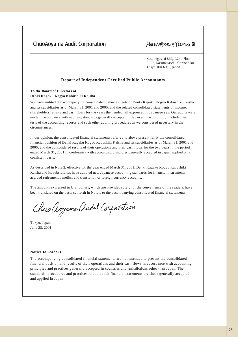# **ChuoAoyama Audit Corporation**

# **PRICEWATERHOUSE COPERS**

Kasumigaseki Bldg. 32nd Floor 3-2-5, Kasumigaseki, Chiyoda-ku, Tokyo 100-6088, Japan

## **Report of Independent Certified Public Accountants**

**To the Board of Directors of**

### **Denki Kagaku Kogyo Kabushiki Kaisha**

We have audited the accompanying consolidated balance sheets of Denki Kagaku Kogyo Kabushiki Kaisha and its subsidiaries as of March 31, 2001 and 2000, and the related consolidated statements of income, shareholders' equity and cash flows for the years then ended, all expressed in Japanese yen. Our audits were made in accordance with auditing standards generally accepted in Japan and, accordingly, included such tests of the accounting records and such other auditing procedures as we considered necessary in the circumstances.

In our opinion, the consolidated financial statements referred to above present fairly the consolidated financial position of Denki Kagaku Kogyo Kabushiki Kaisha and its subsidiaries as of March 31, 2001 and 2000, and the consolidated results of their operations and their cash flows for the two years in the period ended March 31, 2001 in conformity with accounting principles generally accepted in Japan applied on a consistent basis.

As described in Note 2, effective for the year ended March 31, 2001, Denki Kagaku Kogyo Kabushiki Kaisha and its subsidiaries have adopted new Japanese accounting standards for financial instruments, accrued retirement benefits, and translation of foreign currency accounts.

The amounts expressed in U.S. dollars, which are provided solely for the convenience of the readers, have been translated on the basis set forth in Note 1 to the accompanying consolidated financial statements.

Chuo Aoyamo Audit Corporation

Tokyo, Japan June 28, 2001

#### **Notice to readers**

The accompanying consolidated financial statements are not intended to present the consolidated financial position and results of their operations and their cash flows in accordance with accounting principles and practices generally accepted in countries and jurisdictions other than Japan. The standards, procedures and practices to audit such financial statements are those generally accepted and applied in Japan.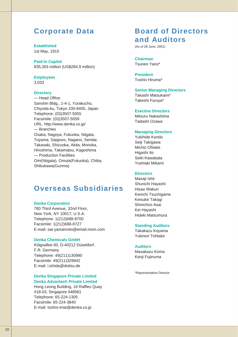# **Corporate Data**

**Established** 1st May, 1915

**Paid-in Capital** ¥35,303 million (US\$284.9 million)

# **Employees**

3,033

## **Directory**

— Head Office Sanshin Bldg., 1-4-1, Yurakucho, Chiyoda-ku, Tokyo 100-8455, Japan Telephone: (03)3507-5055 Facsimile: (03)3507-5059 URL: http://www.denka.co.jp/ — Branches Osaka, Nagoya, Fukuoka, Niigata, Toyama, Sapporo, Nagano, Sendai, Takasaki, Shizuoka, Akita, Morioka, Hiroshima, Takamatsu, Kagoshima — Production Facilities Omi(Niigata), Omuta(Fukuoka), Chiba, Shibukawa(Gunma)

# **Overseas Subsidiaries**

### **Denka Corporation**

780 Third Avenue, 32nd Floor, New York, NY 10017, U.S.A. Telephone: 1(212)688-8700 Facsimile: 1(212)688-8727 E-mail: sat-yamamoto@email.msm.com

## **Denka Chemicals GmbH**

Köigsallee 60, D-40212 Düseldorf, F.R. Germany Telephone: 49(211)130990 Facsimile: 49(211)329942 E-mail: i.ishida@doitsu.de

## **Denka Singapore Private Limited Denka Advantech Private Limited**

Hong Leong Building, 16 Raffles Quay #18-03, Singapore 048581 Telephone: 65-224-1305 Facsimile: 65-224-3840 E-mail: toshio-imai@denka.co.jp

# **Board of Directors and Auditors**

(As of 28 June, 2001)

**Chairman** Tsuneo Yano\*

**President** Toshio Hiruma\*

# **Senior Managing Directors**

Takashi Matsukami\* Takeshi Furuya\*

### **Exective Directors**

Mitsuru Nakashima Tadashi Ozawa

# **Managing Directors**

Yukihide Kondo Seiji Takigawa Michio Ohtake Higashi Ito Seiki Kawabata Yoshiaki Mikami

### **Directors**

Masaji Ishii Shunichi Hayashi Hisao Wakuri Kenichi Tsuchigame Keisuke Takagi Shinichiro Asai Kei Hayashi Hideki Matsumura

## **Standing Auditors**

Takakazu Koyama Yukinori Tohtake

### **Auditors**

Masakazu Koma Kenji Fujinuma

\*Representative Director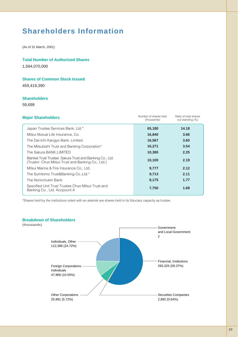# **Shareholders Information**

(As of 31 March, 2001)

## **Total Number of Authorized Shares**

1,584,070,000

## **Shares of Common Stock Issued**

459,419,390

# **Shareholders**

59,699

| Number of shares held<br>(thousands) | Ratio of total shares<br>out standing (%) |  |
|--------------------------------------|-------------------------------------------|--|
| 65,180                               | 14.18                                     |  |
| 16,840                               | 3.66                                      |  |
| 16,567                               | 3.60                                      |  |
| 16,271                               | 3.54                                      |  |
| 10,380                               | 2.25                                      |  |
| 10,100                               | 2.19                                      |  |
| 9,777                                | 2.12                                      |  |
| 9,713                                | 2.11                                      |  |
| 8,175                                | 1.77                                      |  |
| 7,750                                | 1.68                                      |  |
|                                      |                                           |  |

\*Shares held by the institutions noted with an asterisk are shares held in its fiduciary capacity as trustee.

# **Breakdown of Shareholders**

Individuals, Other 112,386 (24.72%) Foreign Corporations Individuals 47,968 (10.55%) (thousands)

> Other Corporations 25,991 (5.72%)

Securities Companies 2,892 (0.64%)

Government

2

and Local Government

Financial, Institutions 265,325 (58.37%)